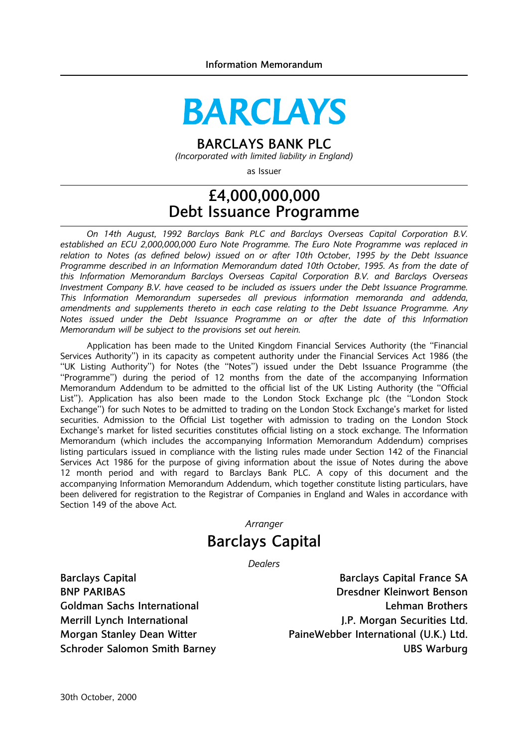# **BARCLAYS**

# BARCLAYS BANK PLC

(Incorporated with limited liability in England)

as Issuer

# £4,000,000,000 Debt Issuance Programme

On 14th August, 1992 Barclays Bank PLC and Barclays Overseas Capital Corporation B.V. established an ECU 2,000,000,000 Euro Note Programme. The Euro Note Programme was replaced in relation to Notes (as defined below) issued on or after 10th October, 1995 by the Debt Issuance Programme described in an Information Memorandum dated 10th October, 1995. As from the date of this Information Memorandum Barclays Overseas Capital Corporation B.V. and Barclays Overseas Investment Company B.V. have ceased to be included as issuers under the Debt Issuance Programme. This Information Memorandum supersedes all previous information memoranda and addenda, amendments and supplements thereto in each case relating to the Debt Issuance Programme. Any Notes issued under the Debt Issuance Programme on or after the date of this Information Memorandum will be subject to the provisions set out herein.

Application has been made to the United Kingdom Financial Services Authority (the "Financial Services Authority'') in its capacity as competent authority under the Financial Services Act 1986 (the ``UK Listing Authority'') for Notes (the ``Notes'') issued under the Debt Issuance Programme (the ``Programme'') during the period of 12 months from the date of the accompanying Information Memorandum Addendum to be admitted to the official list of the UK Listing Authority (the "Official List"). Application has also been made to the London Stock Exchange plc (the "London Stock Exchange'') for such Notes to be admitted to trading on the London Stock Exchange's market for listed securities. Admission to the Official List together with admission to trading on the London Stock Exchange's market for listed securities constitutes official listing on a stock exchange. The Information Memorandum (which includes the accompanying Information Memorandum Addendum) comprises listing particulars issued in compliance with the listing rules made under Section 142 of the Financial Services Act 1986 for the purpose of giving information about the issue of Notes during the above 12 month period and with regard to Barclays Bank PLC. A copy of this document and the accompanying Information Memorandum Addendum, which together constitute listing particulars, have been delivered for registration to the Registrar of Companies in England and Wales in accordance with Section 149 of the above Act.

**Arranger** 

# Barclays Capital

**Dealers** 

Barclays Capital Barclays Capital Barclays Capital France SA BNP PARIBAS Dresdner Kleinwort Benson Goldman Sachs International Lehman Brothers **Coldman Brothers** Merrill Lynch International Merrill Lynch International According to the Merrill Lynch International Merrill A Morgan Stanley Dean Witter **PaineWebber International (U.K.) Ltd.** Schroder Salomon Smith Barney UBS Warburg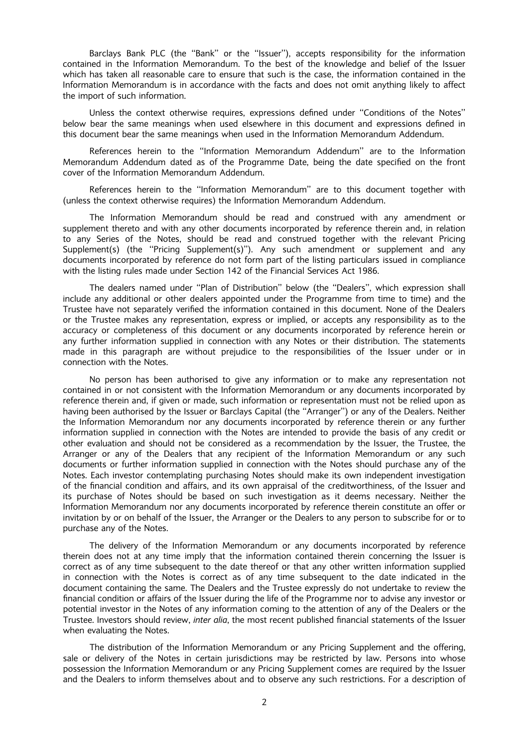Barclays Bank PLC (the "Bank" or the "Issuer"), accepts responsibility for the information contained in the Information Memorandum. To the best of the knowledge and belief of the Issuer which has taken all reasonable care to ensure that such is the case, the information contained in the Information Memorandum is in accordance with the facts and does not omit anything likely to affect the import of such information.

Unless the context otherwise requires, expressions defined under "Conditions of the Notes" below bear the same meanings when used elsewhere in this document and expressions defined in this document bear the same meanings when used in the Information Memorandum Addendum.

References herein to the ``Information Memorandum Addendum'' are to the Information Memorandum Addendum dated as of the Programme Date, being the date specified on the front cover of the Information Memorandum Addendum.

References herein to the "Information Memorandum" are to this document together with (unless the context otherwise requires) the Information Memorandum Addendum.

The Information Memorandum should be read and construed with any amendment or supplement thereto and with any other documents incorporated by reference therein and, in relation to any Series of the Notes, should be read and construed together with the relevant Pricing Supplement(s) (the "Pricing Supplement(s)"). Any such amendment or supplement and any documents incorporated by reference do not form part of the listing particulars issued in compliance with the listing rules made under Section 142 of the Financial Services Act 1986.

The dealers named under "Plan of Distribution" below (the "Dealers", which expression shall include any additional or other dealers appointed under the Programme from time to time) and the Trustee have not separately verified the information contained in this document. None of the Dealers or the Trustee makes any representation, express or implied, or accepts any responsibility as to the accuracy or completeness of this document or any documents incorporated by reference herein or any further information supplied in connection with any Notes or their distribution. The statements made in this paragraph are without prejudice to the responsibilities of the Issuer under or in connection with the Notes.

No person has been authorised to give any information or to make any representation not contained in or not consistent with the Information Memorandum or any documents incorporated by reference therein and, if given or made, such information or representation must not be relied upon as having been authorised by the Issuer or Barclays Capital (the "Arranger") or any of the Dealers. Neither the Information Memorandum nor any documents incorporated by reference therein or any further information supplied in connection with the Notes are intended to provide the basis of any credit or other evaluation and should not be considered as a recommendation by the Issuer, the Trustee, the Arranger or any of the Dealers that any recipient of the Information Memorandum or any such documents or further information supplied in connection with the Notes should purchase any of the Notes. Each investor contemplating purchasing Notes should make its own independent investigation of the financial condition and affairs, and its own appraisal of the creditworthiness, of the Issuer and its purchase of Notes should be based on such investigation as it deems necessary. Neither the Information Memorandum nor any documents incorporated by reference therein constitute an offer or invitation by or on behalf of the Issuer, the Arranger or the Dealers to any person to subscribe for or to purchase any of the Notes.

The delivery of the Information Memorandum or any documents incorporated by reference therein does not at any time imply that the information contained therein concerning the Issuer is correct as of any time subsequent to the date thereof or that any other written information supplied in connection with the Notes is correct as of any time subsequent to the date indicated in the document containing the same. The Dealers and the Trustee expressly do not undertake to review the financial condition or affairs of the Issuer during the life of the Programme nor to advise any investor or potential investor in the Notes of any information coming to the attention of any of the Dealers or the Trustee. Investors should review, inter alia, the most recent published financial statements of the Issuer when evaluating the Notes.

The distribution of the Information Memorandum or any Pricing Supplement and the offering, sale or delivery of the Notes in certain jurisdictions may be restricted by law. Persons into whose possession the Information Memorandum or any Pricing Supplement comes are required by the Issuer and the Dealers to inform themselves about and to observe any such restrictions. For a description of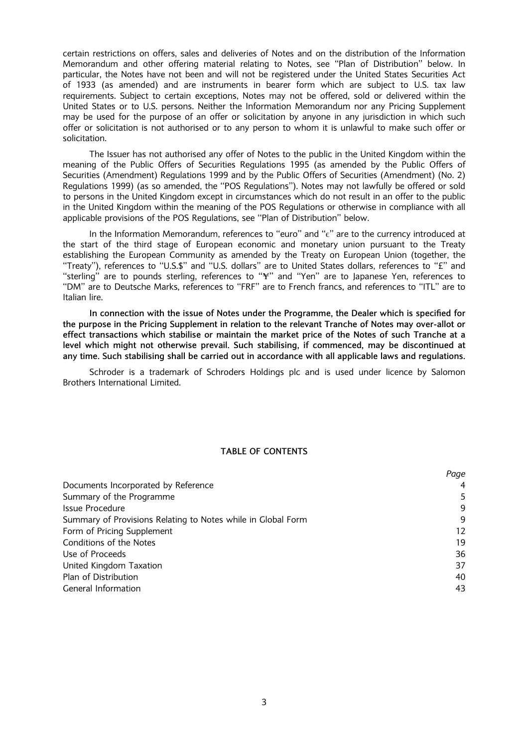certain restrictions on offers, sales and deliveries of Notes and on the distribution of the Information Memorandum and other offering material relating to Notes, see "Plan of Distribution" below. In particular, the Notes have not been and will not be registered under the United States Securities Act of 1933 (as amended) and are instruments in bearer form which are subject to U.S. tax law requirements. Subject to certain exceptions, Notes may not be offered, sold or delivered within the United States or to U.S. persons. Neither the Information Memorandum nor any Pricing Supplement may be used for the purpose of an offer or solicitation by anyone in any jurisdiction in which such offer or solicitation is not authorised or to any person to whom it is unlawful to make such offer or solicitation.

The Issuer has not authorised any offer of Notes to the public in the United Kingdom within the meaning of the Public Offers of Securities Regulations 1995 (as amended by the Public Offers of Securities (Amendment) Regulations 1999 and by the Public Offers of Securities (Amendment) (No. 2) Regulations 1999) (as so amended, the "POS Regulations"). Notes may not lawfully be offered or sold to persons in the United Kingdom except in circumstances which do not result in an offer to the public in the United Kingdom within the meaning of the POS Regulations or otherwise in compliance with all applicable provisions of the POS Regulations, see "Plan of Distribution" below.

In the Information Memorandum, references to "euro" and " $\epsilon$ " are to the currency introduced at the start of the third stage of European economic and monetary union pursuant to the Treaty establishing the European Community as amended by the Treaty on European Union (together, the ``Treaty''), references to ``U.S.\$'' and ``U.S. dollars'' are to United States dollars, references to ``£'' and "sterling" are to pounds sterling, references to " $\ddot{r}$ " and "Yen" are to Japanese Yen, references to ``DM'' are to Deutsche Marks, references to ``FRF'' are to French francs, and references to ``ITL'' are to Italian lire.

In connection with the issue of Notes under the Programme, the Dealer which is specified for the purpose in the Pricing Supplement in relation to the relevant Tranche of Notes may over-allot or effect transactions which stabilise or maintain the market price of the Notes of such Tranche at a level which might not otherwise prevail. Such stabilising, if commenced, may be discontinued at any time. Such stabilising shall be carried out in accordance with all applicable laws and regulations.

Schroder is a trademark of Schroders Holdings plc and is used under licence by Salomon Brothers International Limited.

#### TABLE OF CONTENTS

| Page |
|------|
|      |
| 5    |
| 9    |
| 9    |
| 12   |
| 19   |
| 36   |
| 37   |
| 40   |
| 43   |
|      |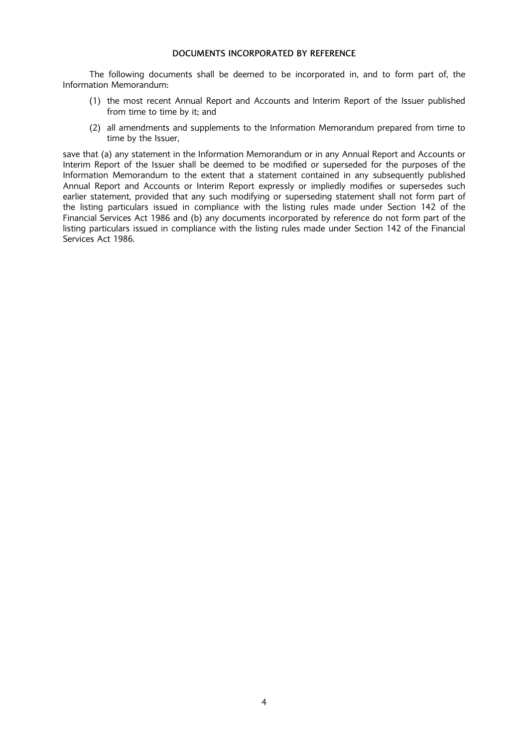# DOCUMENTS INCORPORATED BY REFERENCE

The following documents shall be deemed to be incorporated in, and to form part of, the Information Memorandum:

- (1) the most recent Annual Report and Accounts and Interim Report of the Issuer published from time to time by it; and
- (2) all amendments and supplements to the Information Memorandum prepared from time to time by the Issuer,

save that (a) any statement in the Information Memorandum or in any Annual Report and Accounts or Interim Report of the Issuer shall be deemed to be modified or superseded for the purposes of the Information Memorandum to the extent that a statement contained in any subsequently published Annual Report and Accounts or Interim Report expressly or impliedly modifies or supersedes such earlier statement, provided that any such modifying or superseding statement shall not form part of the listing particulars issued in compliance with the listing rules made under Section 142 of the Financial Services Act 1986 and (b) any documents incorporated by reference do not form part of the listing particulars issued in compliance with the listing rules made under Section 142 of the Financial Services Act 1986.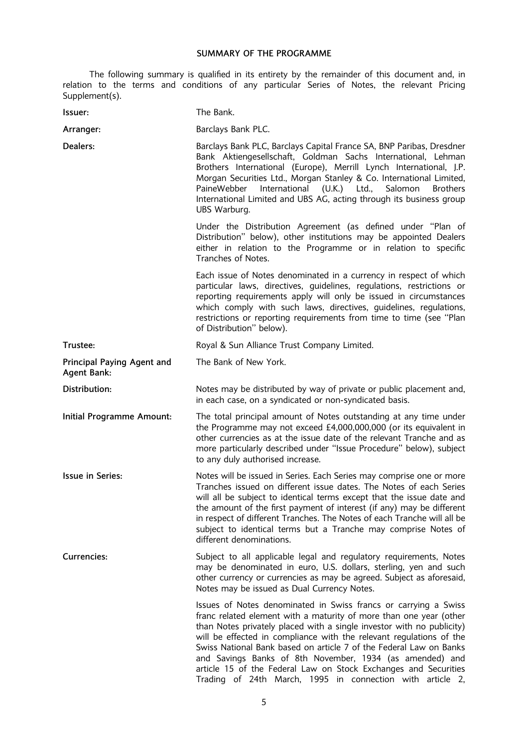# SUMMARY OF THE PROGRAMME

The following summary is qualified in its entirety by the remainder of this document and, in relation to the terms and conditions of any particular Series of Notes, the relevant Pricing Supplement(s).

| Issuer:                                          | The Bank.                                                                                                                                                                                                                                                                                                                                                                                                                                                                                                                                               |
|--------------------------------------------------|---------------------------------------------------------------------------------------------------------------------------------------------------------------------------------------------------------------------------------------------------------------------------------------------------------------------------------------------------------------------------------------------------------------------------------------------------------------------------------------------------------------------------------------------------------|
| Arranger:                                        | Barclays Bank PLC.                                                                                                                                                                                                                                                                                                                                                                                                                                                                                                                                      |
| Dealers:                                         | Barclays Bank PLC, Barclays Capital France SA, BNP Paribas, Dresdner<br>Bank Aktiengesellschaft, Goldman Sachs International, Lehman<br>Brothers International (Europe), Merrill Lynch International, J.P.<br>Morgan Securities Ltd., Morgan Stanley & Co. International Limited,<br>International (U.K.) Ltd.,<br>Salomon<br>PaineWebber<br><b>Brothers</b><br>International Limited and UBS AG, acting through its business group<br>UBS Warburg.                                                                                                     |
|                                                  | Under the Distribution Agreement (as defined under "Plan of<br>Distribution" below), other institutions may be appointed Dealers<br>either in relation to the Programme or in relation to specific<br>Tranches of Notes.                                                                                                                                                                                                                                                                                                                                |
|                                                  | Each issue of Notes denominated in a currency in respect of which<br>particular laws, directives, guidelines, regulations, restrictions or<br>reporting requirements apply will only be issued in circumstances<br>which comply with such laws, directives, quidelines, regulations,<br>restrictions or reporting requirements from time to time (see "Plan<br>of Distribution" below).                                                                                                                                                                 |
| Trustee:                                         | Royal & Sun Alliance Trust Company Limited.                                                                                                                                                                                                                                                                                                                                                                                                                                                                                                             |
| Principal Paying Agent and<br><b>Agent Bank:</b> | The Bank of New York.                                                                                                                                                                                                                                                                                                                                                                                                                                                                                                                                   |
| Distribution:                                    | Notes may be distributed by way of private or public placement and,<br>in each case, on a syndicated or non-syndicated basis.                                                                                                                                                                                                                                                                                                                                                                                                                           |
| Initial Programme Amount:                        | The total principal amount of Notes outstanding at any time under<br>the Programme may not exceed £4,000,000,000 (or its equivalent in<br>other currencies as at the issue date of the relevant Tranche and as<br>more particularly described under "Issue Procedure" below), subject<br>to any duly authorised increase.                                                                                                                                                                                                                               |
| <b>Issue in Series:</b>                          | Notes will be issued in Series. Each Series may comprise one or more<br>Tranches issued on different issue dates. The Notes of each Series<br>will all be subject to identical terms except that the issue date and<br>the amount of the first payment of interest (if any) may be different<br>in respect of different Tranches. The Notes of each Tranche will all be<br>subject to identical terms but a Tranche may comprise Notes of<br>different denominations.                                                                                   |
| Currencies:                                      | Subject to all applicable legal and regulatory requirements, Notes<br>may be denominated in euro, U.S. dollars, sterling, yen and such<br>other currency or currencies as may be agreed. Subject as aforesaid,<br>Notes may be issued as Dual Currency Notes.                                                                                                                                                                                                                                                                                           |
|                                                  | Issues of Notes denominated in Swiss francs or carrying a Swiss<br>franc related element with a maturity of more than one year (other<br>than Notes privately placed with a single investor with no publicity)<br>will be effected in compliance with the relevant regulations of the<br>Swiss National Bank based on article 7 of the Federal Law on Banks<br>and Savings Banks of 8th November, 1934 (as amended) and<br>article 15 of the Federal Law on Stock Exchanges and Securities<br>Trading of 24th March, 1995 in connection with article 2, |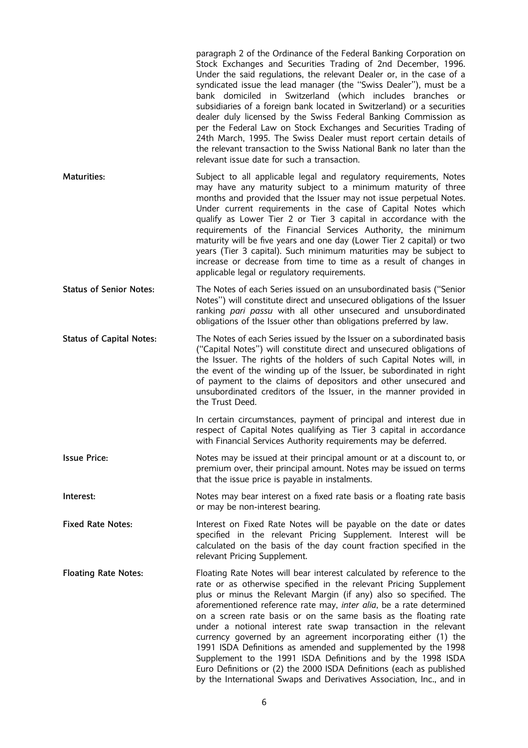|                                 | paragraph 2 of the Ordinance of the Federal Banking Corporation on<br>Stock Exchanges and Securities Trading of 2nd December, 1996.<br>Under the said regulations, the relevant Dealer or, in the case of a<br>syndicated issue the lead manager (the "Swiss Dealer"), must be a<br>bank domiciled in Switzerland (which includes branches or<br>subsidiaries of a foreign bank located in Switzerland) or a securities<br>dealer duly licensed by the Swiss Federal Banking Commission as<br>per the Federal Law on Stock Exchanges and Securities Trading of<br>24th March, 1995. The Swiss Dealer must report certain details of<br>the relevant transaction to the Swiss National Bank no later than the<br>relevant issue date for such a transaction.                      |
|---------------------------------|----------------------------------------------------------------------------------------------------------------------------------------------------------------------------------------------------------------------------------------------------------------------------------------------------------------------------------------------------------------------------------------------------------------------------------------------------------------------------------------------------------------------------------------------------------------------------------------------------------------------------------------------------------------------------------------------------------------------------------------------------------------------------------|
| <b>Maturities:</b>              | Subject to all applicable legal and regulatory requirements, Notes<br>may have any maturity subject to a minimum maturity of three<br>months and provided that the Issuer may not issue perpetual Notes.<br>Under current requirements in the case of Capital Notes which<br>qualify as Lower Tier 2 or Tier 3 capital in accordance with the<br>requirements of the Financial Services Authority, the minimum<br>maturity will be five years and one day (Lower Tier 2 capital) or two<br>years (Tier 3 capital). Such minimum maturities may be subject to<br>increase or decrease from time to time as a result of changes in<br>applicable legal or regulatory requirements.                                                                                                 |
| <b>Status of Senior Notes:</b>  | The Notes of each Series issued on an unsubordinated basis ("Senior<br>Notes") will constitute direct and unsecured obligations of the Issuer<br>ranking pari passu with all other unsecured and unsubordinated<br>obligations of the Issuer other than obligations preferred by law.                                                                                                                                                                                                                                                                                                                                                                                                                                                                                            |
| <b>Status of Capital Notes:</b> | The Notes of each Series issued by the Issuer on a subordinated basis<br>("Capital Notes") will constitute direct and unsecured obligations of<br>the Issuer. The rights of the holders of such Capital Notes will, in<br>the event of the winding up of the Issuer, be subordinated in right<br>of payment to the claims of depositors and other unsecured and<br>unsubordinated creditors of the Issuer, in the manner provided in<br>the Trust Deed.                                                                                                                                                                                                                                                                                                                          |
|                                 | In certain circumstances, payment of principal and interest due in<br>respect of Capital Notes qualifying as Tier 3 capital in accordance<br>with Financial Services Authority requirements may be deferred.                                                                                                                                                                                                                                                                                                                                                                                                                                                                                                                                                                     |
| <b>Issue Price:</b>             | Notes may be issued at their principal amount or at a discount to, or<br>premium over, their principal amount. Notes may be issued on terms<br>that the issue price is payable in instalments.                                                                                                                                                                                                                                                                                                                                                                                                                                                                                                                                                                                   |
| Interest:                       | Notes may bear interest on a fixed rate basis or a floating rate basis<br>or may be non-interest bearing.                                                                                                                                                                                                                                                                                                                                                                                                                                                                                                                                                                                                                                                                        |
| <b>Fixed Rate Notes:</b>        | Interest on Fixed Rate Notes will be payable on the date or dates<br>specified in the relevant Pricing Supplement. Interest will be<br>calculated on the basis of the day count fraction specified in the<br>relevant Pricing Supplement.                                                                                                                                                                                                                                                                                                                                                                                                                                                                                                                                        |
| <b>Floating Rate Notes:</b>     | Floating Rate Notes will bear interest calculated by reference to the<br>rate or as otherwise specified in the relevant Pricing Supplement<br>plus or minus the Relevant Margin (if any) also so specified. The<br>aforementioned reference rate may, inter alia, be a rate determined<br>on a screen rate basis or on the same basis as the floating rate<br>under a notional interest rate swap transaction in the relevant<br>currency governed by an agreement incorporating either (1) the<br>1991 ISDA Definitions as amended and supplemented by the 1998<br>Supplement to the 1991 ISDA Definitions and by the 1998 ISDA<br>Euro Definitions or (2) the 2000 ISDA Definitions (each as published<br>by the International Swaps and Derivatives Association, Inc., and in |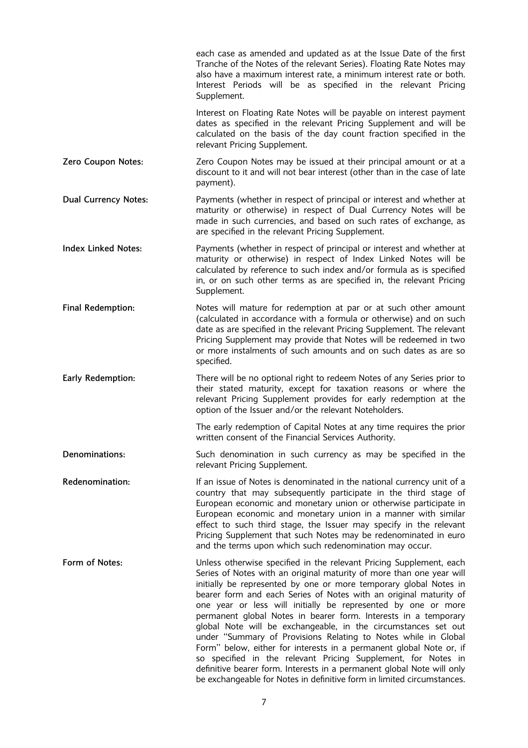|                             | each case as amended and updated as at the Issue Date of the first<br>Tranche of the Notes of the relevant Series). Floating Rate Notes may<br>also have a maximum interest rate, a minimum interest rate or both.<br>Interest Periods will be as specified in the relevant Pricing<br>Supplement.                                                                                                                                                                                                                                                                                                                                                                                                                                                                                                                                                        |
|-----------------------------|-----------------------------------------------------------------------------------------------------------------------------------------------------------------------------------------------------------------------------------------------------------------------------------------------------------------------------------------------------------------------------------------------------------------------------------------------------------------------------------------------------------------------------------------------------------------------------------------------------------------------------------------------------------------------------------------------------------------------------------------------------------------------------------------------------------------------------------------------------------|
|                             | Interest on Floating Rate Notes will be payable on interest payment<br>dates as specified in the relevant Pricing Supplement and will be<br>calculated on the basis of the day count fraction specified in the<br>relevant Pricing Supplement.                                                                                                                                                                                                                                                                                                                                                                                                                                                                                                                                                                                                            |
| Zero Coupon Notes:          | Zero Coupon Notes may be issued at their principal amount or at a<br>discount to it and will not bear interest (other than in the case of late<br>payment).                                                                                                                                                                                                                                                                                                                                                                                                                                                                                                                                                                                                                                                                                               |
| <b>Dual Currency Notes:</b> | Payments (whether in respect of principal or interest and whether at<br>maturity or otherwise) in respect of Dual Currency Notes will be<br>made in such currencies, and based on such rates of exchange, as<br>are specified in the relevant Pricing Supplement.                                                                                                                                                                                                                                                                                                                                                                                                                                                                                                                                                                                         |
| <b>Index Linked Notes:</b>  | Payments (whether in respect of principal or interest and whether at<br>maturity or otherwise) in respect of Index Linked Notes will be<br>calculated by reference to such index and/or formula as is specified<br>in, or on such other terms as are specified in, the relevant Pricing<br>Supplement.                                                                                                                                                                                                                                                                                                                                                                                                                                                                                                                                                    |
| <b>Final Redemption:</b>    | Notes will mature for redemption at par or at such other amount<br>(calculated in accordance with a formula or otherwise) and on such<br>date as are specified in the relevant Pricing Supplement. The relevant<br>Pricing Supplement may provide that Notes will be redeemed in two<br>or more instalments of such amounts and on such dates as are so<br>specified.                                                                                                                                                                                                                                                                                                                                                                                                                                                                                     |
| Early Redemption:           | There will be no optional right to redeem Notes of any Series prior to<br>their stated maturity, except for taxation reasons or where the<br>relevant Pricing Supplement provides for early redemption at the<br>option of the Issuer and/or the relevant Noteholders.                                                                                                                                                                                                                                                                                                                                                                                                                                                                                                                                                                                    |
|                             | The early redemption of Capital Notes at any time requires the prior<br>written consent of the Financial Services Authority.                                                                                                                                                                                                                                                                                                                                                                                                                                                                                                                                                                                                                                                                                                                              |
| Denominations:              | Such denomination in such currency as may be specified in the<br>relevant Pricing Supplement.                                                                                                                                                                                                                                                                                                                                                                                                                                                                                                                                                                                                                                                                                                                                                             |
| Redenomination:             | If an issue of Notes is denominated in the national currency unit of a<br>country that may subsequently participate in the third stage of<br>European economic and monetary union or otherwise participate in<br>European economic and monetary union in a manner with similar<br>effect to such third stage, the Issuer may specify in the relevant<br>Pricing Supplement that such Notes may be redenominated in euro<br>and the terms upon which such redenomination may occur.                                                                                                                                                                                                                                                                                                                                                                        |
| Form of Notes:              | Unless otherwise specified in the relevant Pricing Supplement, each<br>Series of Notes with an original maturity of more than one year will<br>initially be represented by one or more temporary global Notes in<br>bearer form and each Series of Notes with an original maturity of<br>one year or less will initially be represented by one or more<br>permanent global Notes in bearer form. Interests in a temporary<br>global Note will be exchangeable, in the circumstances set out<br>under "Summary of Provisions Relating to Notes while in Global<br>Form" below, either for interests in a permanent global Note or, if<br>so specified in the relevant Pricing Supplement, for Notes in<br>definitive bearer form. Interests in a permanent global Note will only<br>be exchangeable for Notes in definitive form in limited circumstances. |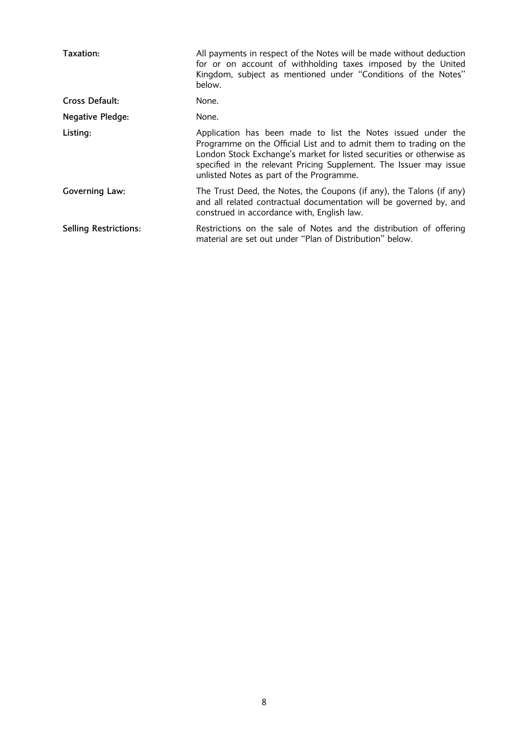| Taxation:                    | All payments in respect of the Notes will be made without deduction<br>for or on account of withholding taxes imposed by the United<br>Kingdom, subject as mentioned under "Conditions of the Notes"<br>below.                                                                                                               |
|------------------------------|------------------------------------------------------------------------------------------------------------------------------------------------------------------------------------------------------------------------------------------------------------------------------------------------------------------------------|
| Cross Default:               | None.                                                                                                                                                                                                                                                                                                                        |
| <b>Negative Pledge:</b>      | None.                                                                                                                                                                                                                                                                                                                        |
| Listing:                     | Application has been made to list the Notes issued under the<br>Programme on the Official List and to admit them to trading on the<br>London Stock Exchange's market for listed securities or otherwise as<br>specified in the relevant Pricing Supplement. The Issuer may issue<br>unlisted Notes as part of the Programme. |
| Governing Law:               | The Trust Deed, the Notes, the Coupons (if any), the Talons (if any)<br>and all related contractual documentation will be governed by, and<br>construed in accordance with, English law.                                                                                                                                     |
| <b>Selling Restrictions:</b> | Restrictions on the sale of Notes and the distribution of offering<br>material are set out under "Plan of Distribution" below.                                                                                                                                                                                               |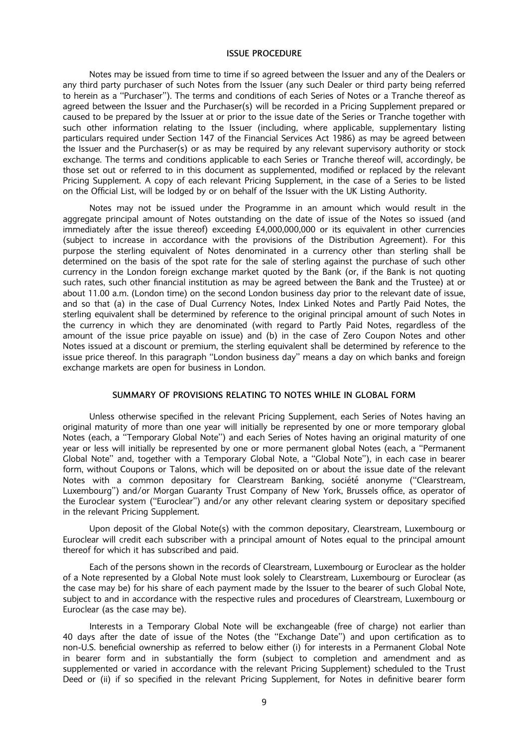#### ISSUE PROCEDURE

Notes may be issued from time to time if so agreed between the Issuer and any of the Dealers or any third party purchaser of such Notes from the Issuer (any such Dealer or third party being referred to herein as a "Purchaser"). The terms and conditions of each Series of Notes or a Tranche thereof as agreed between the Issuer and the Purchaser(s) will be recorded in a Pricing Supplement prepared or caused to be prepared by the Issuer at or prior to the issue date of the Series or Tranche together with such other information relating to the Issuer (including, where applicable, supplementary listing particulars required under Section 147 of the Financial Services Act 1986) as may be agreed between the Issuer and the Purchaser(s) or as may be required by any relevant supervisory authority or stock exchange. The terms and conditions applicable to each Series or Tranche thereof will, accordingly, be those set out or referred to in this document as supplemented, modified or replaced by the relevant Pricing Supplement. A copy of each relevant Pricing Supplement, in the case of a Series to be listed on the Official List, will be lodged by or on behalf of the Issuer with the UK Listing Authority.

Notes may not be issued under the Programme in an amount which would result in the aggregate principal amount of Notes outstanding on the date of issue of the Notes so issued (and immediately after the issue thereof) exceeding £4,000,000,000 or its equivalent in other currencies (subject to increase in accordance with the provisions of the Distribution Agreement). For this purpose the sterling equivalent of Notes denominated in a currency other than sterling shall be determined on the basis of the spot rate for the sale of sterling against the purchase of such other currency in the London foreign exchange market quoted by the Bank (or, if the Bank is not quoting such rates, such other financial institution as may be agreed between the Bank and the Trustee) at or about 11.00 a.m. (London time) on the second London business day prior to the relevant date of issue, and so that (a) in the case of Dual Currency Notes, Index Linked Notes and Partly Paid Notes, the sterling equivalent shall be determined by reference to the original principal amount of such Notes in the currency in which they are denominated (with regard to Partly Paid Notes, regardless of the amount of the issue price payable on issue) and (b) in the case of Zero Coupon Notes and other Notes issued at a discount or premium, the sterling equivalent shall be determined by reference to the issue price thereof. In this paragraph "London business day" means a day on which banks and foreign exchange markets are open for business in London.

#### SUMMARY OF PROVISIONS RELATING TO NOTES WHILE IN GLOBAL FORM

Unless otherwise specified in the relevant Pricing Supplement, each Series of Notes having an original maturity of more than one year will initially be represented by one or more temporary global Notes (each, a "Temporary Global Note") and each Series of Notes having an original maturity of one year or less will initially be represented by one or more permanent global Notes (each, a "Permanent Global Note" and, together with a Temporary Global Note, a "Global Note"), in each case in bearer form, without Coupons or Talons, which will be deposited on or about the issue date of the relevant Notes with a common depositary for Clearstream Banking, société anonyme ("Clearstream, Luxembourg") and/or Morgan Guaranty Trust Company of New York, Brussels office, as operator of the Euroclear system ("Euroclear") and/or any other relevant clearing system or depositary specified in the relevant Pricing Supplement.

Upon deposit of the Global Note(s) with the common depositary, Clearstream, Luxembourg or Euroclear will credit each subscriber with a principal amount of Notes equal to the principal amount thereof for which it has subscribed and paid.

Each of the persons shown in the records of Clearstream, Luxembourg or Euroclear as the holder of a Note represented by a Global Note must look solely to Clearstream, Luxembourg or Euroclear (as the case may be) for his share of each payment made by the Issuer to the bearer of such Global Note, subject to and in accordance with the respective rules and procedures of Clearstream, Luxembourg or Euroclear (as the case may be).

Interests in a Temporary Global Note will be exchangeable (free of charge) not earlier than 40 days after the date of issue of the Notes (the "Exchange Date") and upon certification as to non-U.S. beneficial ownership as referred to below either (i) for interests in a Permanent Global Note in bearer form and in substantially the form (subject to completion and amendment and as supplemented or varied in accordance with the relevant Pricing Supplement) scheduled to the Trust Deed or (ii) if so specified in the relevant Pricing Supplement, for Notes in definitive bearer form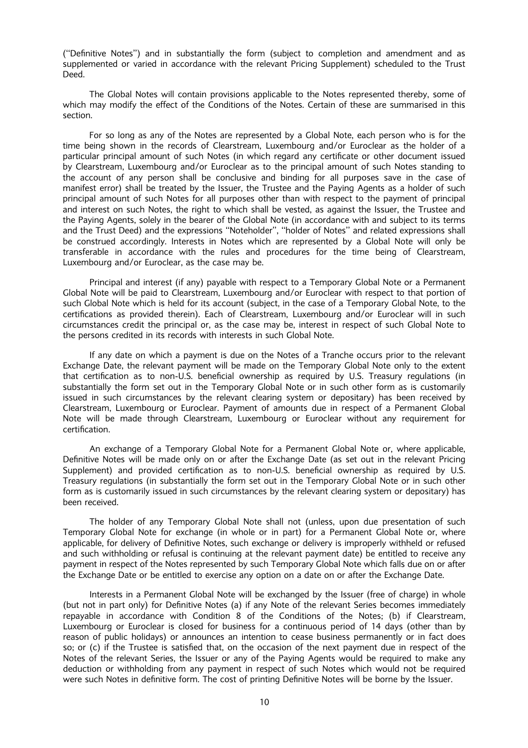("Definitive Notes") and in substantially the form (subject to completion and amendment and as supplemented or varied in accordance with the relevant Pricing Supplement) scheduled to the Trust Deed.

The Global Notes will contain provisions applicable to the Notes represented thereby, some of which may modify the effect of the Conditions of the Notes. Certain of these are summarised in this section.

For so long as any of the Notes are represented by a Global Note, each person who is for the time being shown in the records of Clearstream, Luxembourg and/or Euroclear as the holder of a particular principal amount of such Notes (in which regard any certificate or other document issued by Clearstream, Luxembourg and/or Euroclear as to the principal amount of such Notes standing to the account of any person shall be conclusive and binding for all purposes save in the case of manifest error) shall be treated by the Issuer, the Trustee and the Paying Agents as a holder of such principal amount of such Notes for all purposes other than with respect to the payment of principal and interest on such Notes, the right to which shall be vested, as against the Issuer, the Trustee and the Paying Agents, solely in the bearer of the Global Note (in accordance with and subject to its terms and the Trust Deed) and the expressions "Noteholder", "holder of Notes" and related expressions shall be construed accordingly. Interests in Notes which are represented by a Global Note will only be transferable in accordance with the rules and procedures for the time being of Clearstream, Luxembourg and/or Euroclear, as the case may be.

Principal and interest (if any) payable with respect to a Temporary Global Note or a Permanent Global Note will be paid to Clearstream, Luxembourg and/or Euroclear with respect to that portion of such Global Note which is held for its account (subject, in the case of a Temporary Global Note, to the certifications as provided therein). Each of Clearstream, Luxembourg and/or Euroclear will in such circumstances credit the principal or, as the case may be, interest in respect of such Global Note to the persons credited in its records with interests in such Global Note.

If any date on which a payment is due on the Notes of a Tranche occurs prior to the relevant Exchange Date, the relevant payment will be made on the Temporary Global Note only to the extent that certification as to non-U.S. beneficial ownership as required by U.S. Treasury requlations (in substantially the form set out in the Temporary Global Note or in such other form as is customarily issued in such circumstances by the relevant clearing system or depositary) has been received by Clearstream, Luxembourg or Euroclear. Payment of amounts due in respect of a Permanent Global Note will be made through Clearstream, Luxembourg or Euroclear without any requirement for certification.

An exchange of a Temporary Global Note for a Permanent Global Note or, where applicable, Definitive Notes will be made only on or after the Exchange Date (as set out in the relevant Pricing Supplement) and provided certification as to non-U.S. beneficial ownership as required by U.S. Treasury regulations (in substantially the form set out in the Temporary Global Note or in such other form as is customarily issued in such circumstances by the relevant clearing system or depositary) has been received.

The holder of any Temporary Global Note shall not (unless, upon due presentation of such Temporary Global Note for exchange (in whole or in part) for a Permanent Global Note or, where applicable, for delivery of Definitive Notes, such exchange or delivery is improperly withheld or refused and such withholding or refusal is continuing at the relevant payment date) be entitled to receive any payment in respect of the Notes represented by such Temporary Global Note which falls due on or after the Exchange Date or be entitled to exercise any option on a date on or after the Exchange Date.

Interests in a Permanent Global Note will be exchanged by the Issuer (free of charge) in whole (but not in part only) for Definitive Notes (a) if any Note of the relevant Series becomes immediately repayable in accordance with Condition 8 of the Conditions of the Notes; (b) if Clearstream, Luxembourg or Euroclear is closed for business for a continuous period of 14 days (other than by reason of public holidays) or announces an intention to cease business permanently or in fact does so; or (c) if the Trustee is satisfied that, on the occasion of the next payment due in respect of the Notes of the relevant Series, the Issuer or any of the Paying Agents would be required to make any deduction or withholding from any payment in respect of such Notes which would not be required were such Notes in definitive form. The cost of printing Definitive Notes will be borne by the Issuer.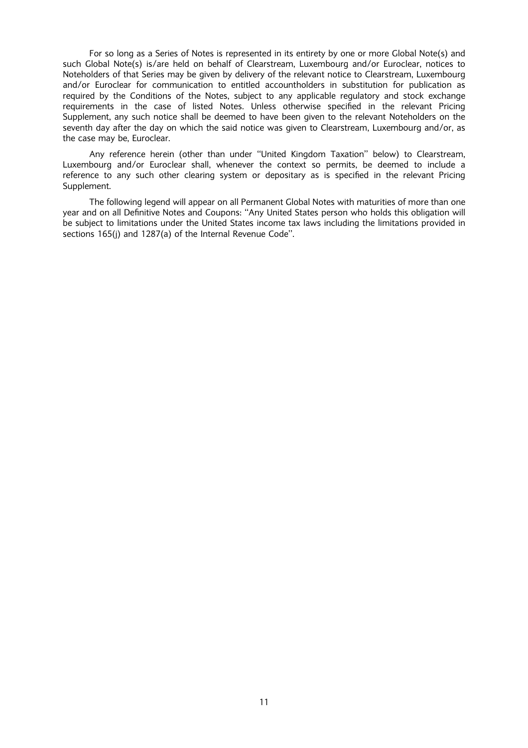For so long as a Series of Notes is represented in its entirety by one or more Global Note(s) and such Global Note(s) is/are held on behalf of Clearstream, Luxembourg and/or Euroclear, notices to Noteholders of that Series may be given by delivery of the relevant notice to Clearstream, Luxembourg and/or Euroclear for communication to entitled accountholders in substitution for publication as required by the Conditions of the Notes, subject to any applicable regulatory and stock exchange requirements in the case of listed Notes. Unless otherwise specified in the relevant Pricing Supplement, any such notice shall be deemed to have been given to the relevant Noteholders on the seventh day after the day on which the said notice was given to Clearstream, Luxembourg and/or, as the case may be, Euroclear.

Any reference herein (other than under "United Kingdom Taxation" below) to Clearstream, Luxembourg and/or Euroclear shall, whenever the context so permits, be deemed to include a reference to any such other clearing system or depositary as is specified in the relevant Pricing Supplement.

The following legend will appear on all Permanent Global Notes with maturities of more than one year and on all Definitive Notes and Coupons: "Any United States person who holds this obligation will be subject to limitations under the United States income tax laws including the limitations provided in sections 165(j) and 1287(a) of the Internal Revenue Code''.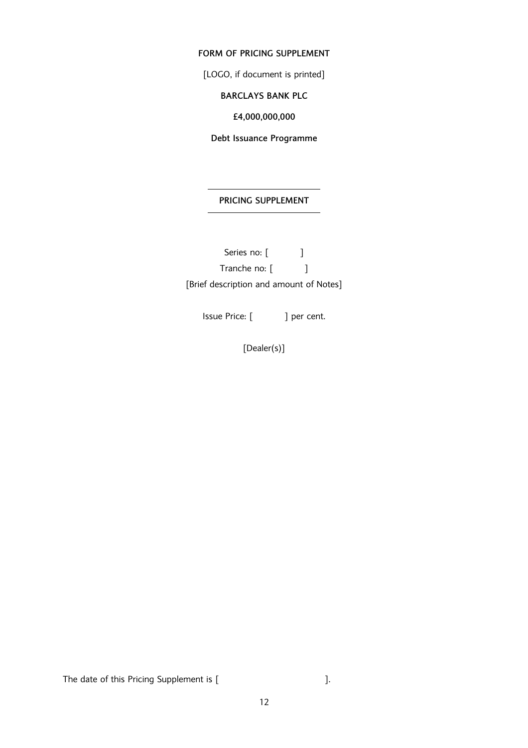# FORM OF PRICING SUPPLEMENT

[LOGO, if document is printed]

# BARCLAYS BANK PLC

£4,000,000,000

Debt Issuance Programme

# PRICING SUPPLEMENT

Series no: [ ] Tranche no: [ ] [Brief description and amount of Notes]

Issue Price: [ ] per cent.

[Dealer(s)]

The date of this Pricing Supplement is [  $\qquad \qquad$  ].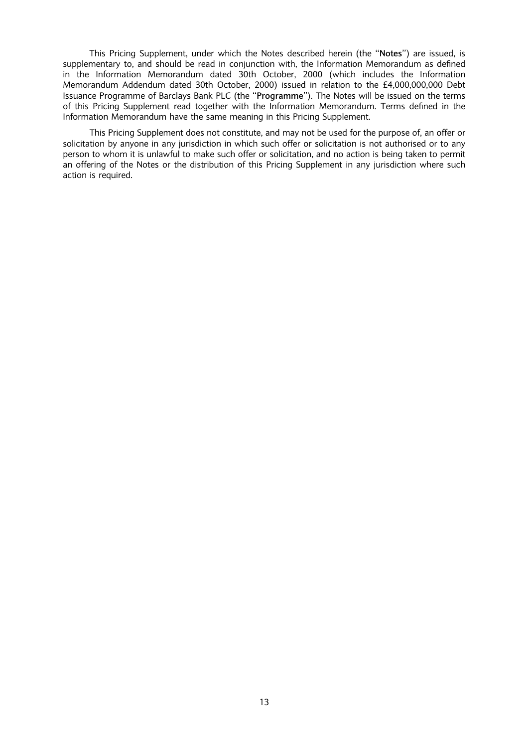This Pricing Supplement, under which the Notes described herein (the "Notes") are issued, is supplementary to, and should be read in conjunction with, the Information Memorandum as defined in the Information Memorandum dated 30th October, 2000 (which includes the Information Memorandum Addendum dated 30th October, 2000) issued in relation to the £4,000,000,000 Debt Issuance Programme of Barclays Bank PLC (the "Programme"). The Notes will be issued on the terms of this Pricing Supplement read together with the Information Memorandum. Terms defined in the Information Memorandum have the same meaning in this Pricing Supplement.

This Pricing Supplement does not constitute, and may not be used for the purpose of, an offer or solicitation by anyone in any jurisdiction in which such offer or solicitation is not authorised or to any person to whom it is unlawful to make such offer or solicitation, and no action is being taken to permit an offering of the Notes or the distribution of this Pricing Supplement in any jurisdiction where such action is required.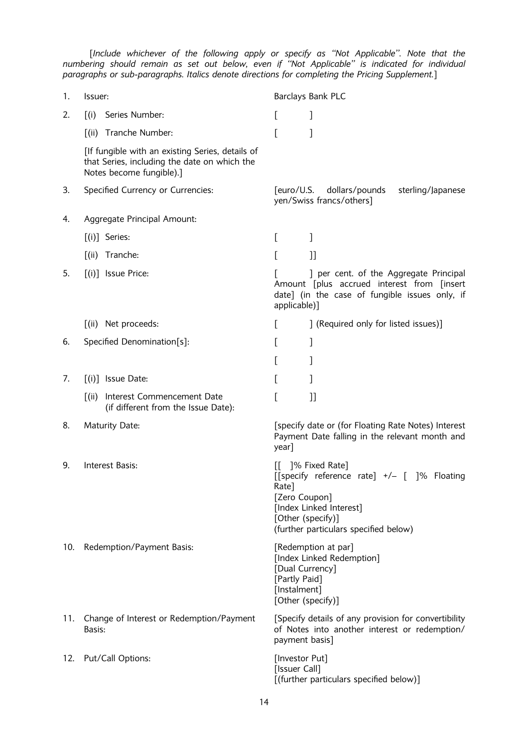[Include whichever of the following apply or specify as ``Not Applicable''. Note that the numbering should remain as set out below, even if ``Not Applicable'' is indicated for individual paragraphs or sub-paragraphs. Italics denote directions for completing the Pricing Supplement.]

| 1.  | Issuer:                                                                                                                      | Barclays Bank PLC                                                                                                                                                               |
|-----|------------------------------------------------------------------------------------------------------------------------------|---------------------------------------------------------------------------------------------------------------------------------------------------------------------------------|
| 2.  | Series Number:<br>$\int$ (i)                                                                                                 | L                                                                                                                                                                               |
|     | [(ii) Tranche Number:                                                                                                        | 1                                                                                                                                                                               |
|     | [If fungible with an existing Series, details of<br>that Series, including the date on which the<br>Notes become fungible).] |                                                                                                                                                                                 |
| 3.  | Specified Currency or Currencies:                                                                                            | [euro/U.S.<br>dollars/pounds<br>sterling/Japanese<br>yen/Swiss francs/others]                                                                                                   |
| 4.  | Aggregate Principal Amount:                                                                                                  |                                                                                                                                                                                 |
|     | [(i)] Series:                                                                                                                | L<br>]                                                                                                                                                                          |
|     | $\lceil$ (ii)<br>Tranche:                                                                                                    | L<br>]]                                                                                                                                                                         |
| 5.  | $[(i)]$ Issue Price:                                                                                                         | ] per cent. of the Aggregate Principal<br>Amount [plus accrued interest from [insert<br>date] (in the case of fungible issues only, if<br>applicable)]                          |
|     | $\lceil$ (ii)<br>Net proceeds:                                                                                               | ] (Required only for listed issues)]<br>L                                                                                                                                       |
| 6.  | Specified Denomination[s]:                                                                                                   | L<br>1                                                                                                                                                                          |
|     |                                                                                                                              | [                                                                                                                                                                               |
| 7.  | $[(i)]$ Issue Date:                                                                                                          |                                                                                                                                                                                 |
|     | Interest Commencement Date<br>$\lceil$ (ii)<br>(if different from the Issue Date):                                           | [<br>$_{\rm ll}$                                                                                                                                                                |
| 8.  | Maturity Date:                                                                                                               | [specify date or (for Floating Rate Notes) Interest<br>Payment Date falling in the relevant month and<br>year]                                                                  |
| 9.  | Interest Basis:                                                                                                              | 1% Fixed Rate]<br>[[specify reference rate] +/- []% Floating<br>Rate]<br>[Zero Coupon]<br>[Index Linked Interest]<br>[Other (specify)]<br>(further particulars specified below) |
| 10. | Redemption/Payment Basis:                                                                                                    | [Redemption at par]<br>[Index Linked Redemption]<br>[Dual Currency]<br>[Partly Paid]<br>[Instalment]<br>[Other (specify)]                                                       |
| 11. | Change of Interest or Redemption/Payment<br>Basis:                                                                           | [Specify details of any provision for convertibility<br>of Notes into another interest or redemption/<br>payment basis]                                                         |
| 12. | Put/Call Options:                                                                                                            | [Investor Put]<br>[Issuer Call]<br>[(further particulars specified below)]                                                                                                      |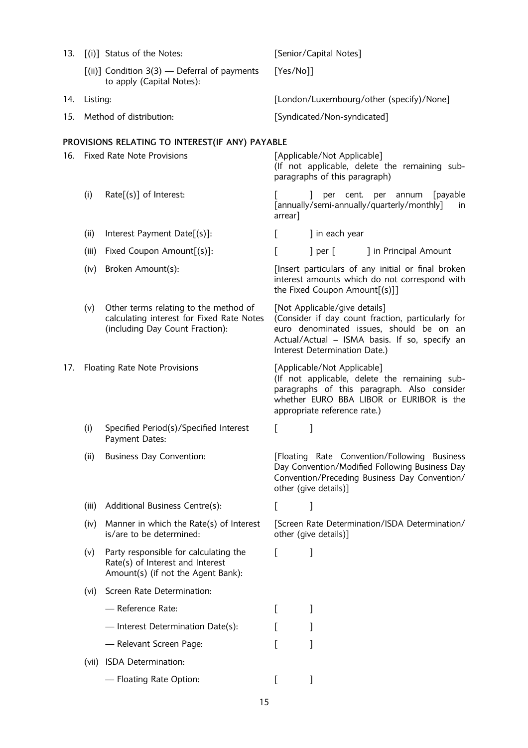| 13. |                                   | [(i)] Status of the Notes:                                                                                            |                                          | [Senior/Capital Notes]                                         |                                                                                                                                                 |
|-----|-----------------------------------|-----------------------------------------------------------------------------------------------------------------------|------------------------------------------|----------------------------------------------------------------|-------------------------------------------------------------------------------------------------------------------------------------------------|
|     |                                   | $[(ii)]$ Condition 3(3) — Deferral of payments<br>to apply (Capital Notes):                                           | [Yes/No]]                                |                                                                |                                                                                                                                                 |
| 14. | Listing:                          |                                                                                                                       | [London/Luxembourg/other (specify)/None] |                                                                |                                                                                                                                                 |
| 15. |                                   | Method of distribution:                                                                                               |                                          | [Syndicated/Non-syndicated]                                    |                                                                                                                                                 |
|     |                                   | PROVISIONS RELATING TO INTEREST(IF ANY) PAYABLE                                                                       |                                          |                                                                |                                                                                                                                                 |
| 16. | <b>Fixed Rate Note Provisions</b> |                                                                                                                       |                                          | [Applicable/Not Applicable]<br>paragraphs of this paragraph)   | (If not applicable, delete the remaining sub-                                                                                                   |
|     | (i)                               | $Rate[(s)]$ of Interest:                                                                                              | arrear]                                  |                                                                | per cent. per annum<br>[payable]<br>[annually/semi-annually/quarterly/monthly]<br>in                                                            |
|     | (ii)                              | Interest Payment Date[(s)]:                                                                                           | L                                        | ] in each year                                                 |                                                                                                                                                 |
|     | (iii)                             | Fixed Coupon Amount[(s)]:                                                                                             | E                                        | $\vert$ per $\vert$                                            | ] in Principal Amount                                                                                                                           |
|     | (iv)                              | Broken Amount(s):                                                                                                     |                                          | the Fixed Coupon Amount[(s)]]                                  | [Insert particulars of any initial or final broken<br>interest amounts which do not correspond with                                             |
|     | (v)                               | Other terms relating to the method of<br>calculating interest for Fixed Rate Notes<br>(including Day Count Fraction): |                                          | [Not Applicable/give details]<br>Interest Determination Date.) | (Consider if day count fraction, particularly for<br>euro denominated issues, should be on an<br>Actual/Actual - ISMA basis. If so, specify an  |
| 17. |                                   | <b>Floating Rate Note Provisions</b>                                                                                  |                                          | [Applicable/Not Applicable]<br>appropriate reference rate.)    | (If not applicable, delete the remaining sub-<br>paragraphs of this paragraph. Also consider<br>whether EURO BBA LIBOR or EURIBOR is the        |
|     | (i)                               | Specified Period(s)/Specified Interest<br>Payment Dates:                                                              | L                                        | 1                                                              |                                                                                                                                                 |
|     | (ii)                              | <b>Business Day Convention:</b>                                                                                       |                                          | other (give details)]                                          | [Floating Rate Convention/Following Business<br>Day Convention/Modified Following Business Day<br>Convention/Preceding Business Day Convention/ |
|     | (iii)                             | Additional Business Centre(s):                                                                                        | L                                        | J                                                              |                                                                                                                                                 |
|     | (iv)                              | Manner in which the Rate(s) of Interest<br>is/are to be determined:                                                   |                                          | other (give details)]                                          | [Screen Rate Determination/ISDA Determination/                                                                                                  |
|     | (v)                               | Party responsible for calculating the<br>Rate(s) of Interest and Interest<br>Amount(s) (if not the Agent Bank):       | L                                        | 1                                                              |                                                                                                                                                 |
|     | (vi)                              | Screen Rate Determination:                                                                                            |                                          |                                                                |                                                                                                                                                 |
|     |                                   | - Reference Rate:                                                                                                     | L                                        | ]                                                              |                                                                                                                                                 |
|     |                                   | - Interest Determination Date(s):                                                                                     |                                          |                                                                |                                                                                                                                                 |
|     |                                   | - Relevant Screen Page:                                                                                               |                                          |                                                                |                                                                                                                                                 |
|     | (vii)                             | ISDA Determination:                                                                                                   |                                          |                                                                |                                                                                                                                                 |
|     |                                   | - Floating Rate Option:                                                                                               |                                          |                                                                |                                                                                                                                                 |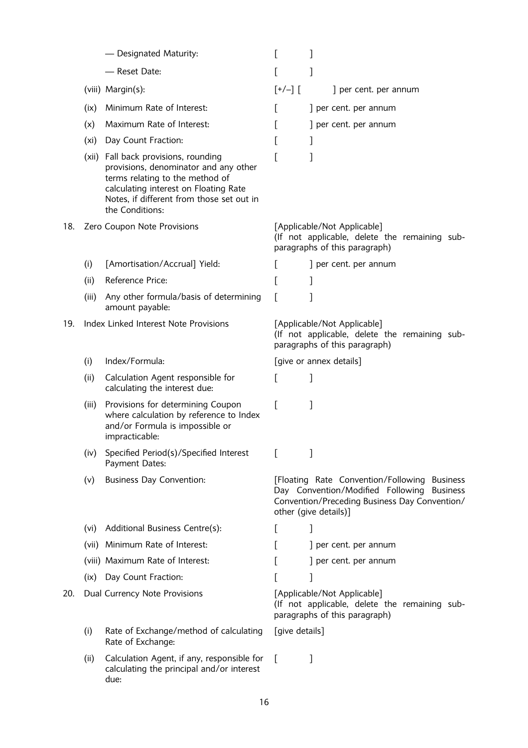|     |       | - Designated Maturity:                                                                                                                                                                                                    | L                                                                                                             | 1                                                                                                                                                                    |
|-----|-------|---------------------------------------------------------------------------------------------------------------------------------------------------------------------------------------------------------------------------|---------------------------------------------------------------------------------------------------------------|----------------------------------------------------------------------------------------------------------------------------------------------------------------------|
|     |       | - Reset Date:                                                                                                                                                                                                             | E                                                                                                             | ]                                                                                                                                                                    |
|     |       | (viii) Margin(s):                                                                                                                                                                                                         | $[+/$ -] $[$                                                                                                  | ] per cent. per annum                                                                                                                                                |
|     | (ix)  | Minimum Rate of Interest:                                                                                                                                                                                                 | L                                                                                                             | ] per cent. per annum                                                                                                                                                |
|     | (x)   | Maximum Rate of Interest:                                                                                                                                                                                                 |                                                                                                               | ] per cent. per annum                                                                                                                                                |
|     | (xi)  | Day Count Fraction:                                                                                                                                                                                                       | E                                                                                                             | 1                                                                                                                                                                    |
|     |       | (xii) Fall back provisions, rounding<br>provisions, denominator and any other<br>terms relating to the method of<br>calculating interest on Floating Rate<br>Notes, if different from those set out in<br>the Conditions: |                                                                                                               | 1                                                                                                                                                                    |
| 18. |       | Zero Coupon Note Provisions                                                                                                                                                                                               |                                                                                                               | [Applicable/Not Applicable]<br>(If not applicable, delete the remaining sub-<br>paragraphs of this paragraph)                                                        |
|     | (i)   | [Amortisation/Accrual] Yield:                                                                                                                                                                                             |                                                                                                               | ] per cent. per annum                                                                                                                                                |
|     | (ii)  | Reference Price:                                                                                                                                                                                                          | L                                                                                                             | 1                                                                                                                                                                    |
|     | (iii) | Any other formula/basis of determining<br>amount payable:                                                                                                                                                                 |                                                                                                               |                                                                                                                                                                      |
| 19. |       | Index Linked Interest Note Provisions                                                                                                                                                                                     | [Applicable/Not Applicable]<br>(If not applicable, delete the remaining sub-<br>paragraphs of this paragraph) |                                                                                                                                                                      |
|     | (i)   | Index/Formula:                                                                                                                                                                                                            |                                                                                                               | [give or annex details]                                                                                                                                              |
|     | (ii)  | Calculation Agent responsible for<br>calculating the interest due:                                                                                                                                                        | L                                                                                                             | 1                                                                                                                                                                    |
|     | (iii) | Provisions for determining Coupon<br>where calculation by reference to Index<br>and/or Formula is impossible or<br>impracticable:                                                                                         |                                                                                                               | 1                                                                                                                                                                    |
|     | (iv)  | Specified Period(s)/Specified Interest<br>Payment Dates:                                                                                                                                                                  | L                                                                                                             | 1                                                                                                                                                                    |
|     | (v)   | <b>Business Day Convention:</b>                                                                                                                                                                                           |                                                                                                               | [Floating Rate Convention/Following Business<br>Day Convention/Modified Following Business<br>Convention/Preceding Business Day Convention/<br>other (give details)] |
|     | (vi)  | Additional Business Centre(s):                                                                                                                                                                                            | L                                                                                                             | J                                                                                                                                                                    |
|     | (vii) | Minimum Rate of Interest:                                                                                                                                                                                                 |                                                                                                               | ] per cent. per annum                                                                                                                                                |
|     |       | (viii) Maximum Rate of Interest:                                                                                                                                                                                          |                                                                                                               | ] per cent. per annum                                                                                                                                                |
|     | (ix)  | Day Count Fraction:                                                                                                                                                                                                       |                                                                                                               | ]                                                                                                                                                                    |
| 20. |       | Dual Currency Note Provisions                                                                                                                                                                                             |                                                                                                               | [Applicable/Not Applicable]<br>(If not applicable, delete the remaining sub-<br>paragraphs of this paragraph)                                                        |
|     | (i)   | Rate of Exchange/method of calculating<br>Rate of Exchange:                                                                                                                                                               | [give details]                                                                                                |                                                                                                                                                                      |
|     | (ii)  | Calculation Agent, if any, responsible for<br>calculating the principal and/or interest<br>due:                                                                                                                           | $\mathbf{L}$                                                                                                  | 1                                                                                                                                                                    |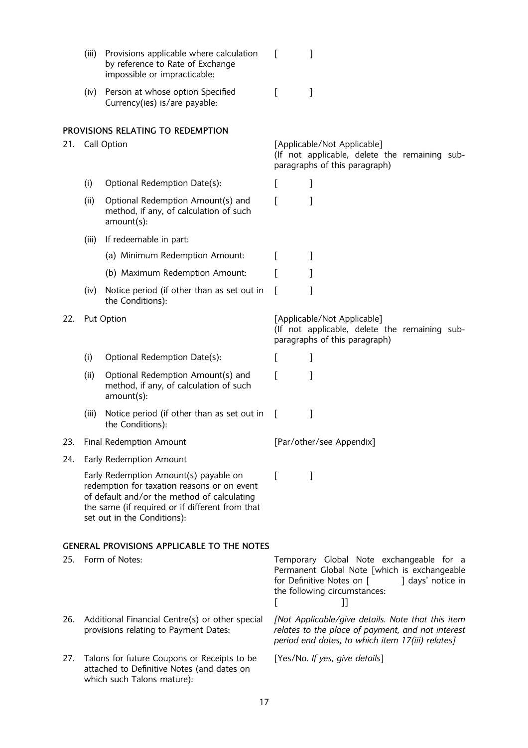|     | (iii) | Provisions applicable where calculation<br>by reference to Rate of Exchange<br>impossible or impracticable:                                                                                                           | L            | 1                                                                                                                                                                              |
|-----|-------|-----------------------------------------------------------------------------------------------------------------------------------------------------------------------------------------------------------------------|--------------|--------------------------------------------------------------------------------------------------------------------------------------------------------------------------------|
|     | (iv)  | Person at whose option Specified<br>Currency(ies) is/are payable:                                                                                                                                                     | L            | 1                                                                                                                                                                              |
| 21. |       | PROVISIONS RELATING TO REDEMPTION<br>Call Option                                                                                                                                                                      |              | [Applicable/Not Applicable]                                                                                                                                                    |
|     |       |                                                                                                                                                                                                                       |              | (If not applicable, delete the remaining sub-<br>paragraphs of this paragraph)                                                                                                 |
|     | (i)   | Optional Redemption Date(s):                                                                                                                                                                                          | L            | 1                                                                                                                                                                              |
|     | (ii)  | Optional Redemption Amount(s) and<br>method, if any, of calculation of such<br>amount(s):                                                                                                                             | E            | 1                                                                                                                                                                              |
|     | (iii) | If redeemable in part:                                                                                                                                                                                                |              |                                                                                                                                                                                |
|     |       | (a) Minimum Redemption Amount:                                                                                                                                                                                        | L            | 1                                                                                                                                                                              |
|     |       | (b) Maximum Redemption Amount:                                                                                                                                                                                        | L            |                                                                                                                                                                                |
|     | (iv)  | Notice period (if other than as set out in<br>the Conditions):                                                                                                                                                        | $\mathbf{I}$ | 1                                                                                                                                                                              |
| 22. |       | Put Option                                                                                                                                                                                                            |              | [Applicable/Not Applicable]<br>(If not applicable, delete the remaining sub-<br>paragraphs of this paragraph)                                                                  |
|     | (i)   | Optional Redemption Date(s):                                                                                                                                                                                          | $\mathbf{I}$ |                                                                                                                                                                                |
|     | (ii)  | Optional Redemption Amount(s) and<br>method, if any, of calculation of such<br>amount(s):                                                                                                                             | ſ            | 1                                                                                                                                                                              |
|     | (iii) | Notice period (if other than as set out in<br>the Conditions):                                                                                                                                                        | $\Gamma$     | 1                                                                                                                                                                              |
| 23. |       | Final Redemption Amount                                                                                                                                                                                               |              | [Par/other/see Appendix]                                                                                                                                                       |
| 24. |       | Early Redemption Amount                                                                                                                                                                                               |              |                                                                                                                                                                                |
|     |       | Early Redemption Amount(s) payable on<br>redemption for taxation reasons or on event<br>of default and/or the method of calculating<br>the same (if required or if different from that<br>set out in the Conditions): | L            | $\overline{\phantom{a}}$                                                                                                                                                       |
|     |       | <b>GENERAL PROVISIONS APPLICABLE TO THE NOTES</b>                                                                                                                                                                     |              |                                                                                                                                                                                |
| 25. |       | Form of Notes:                                                                                                                                                                                                        | L            | Temporary Global Note exchangeable for a<br>Permanent Global Note [which is exchangeable<br>for Definitive Notes on [<br>days' notice in<br>the following circumstances:<br>11 |
| 26. |       | Additional Financial Centre(s) or other special<br>provisions relating to Payment Dates:                                                                                                                              |              | [Not Applicable/give details. Note that this item<br>relates to the place of payment, and not interest<br>period end dates, to which item 17(iii) relates]                     |
| 27. |       | Talons for future Coupons or Receipts to be<br>attached to Definitive Notes (and dates on<br>which such Talons mature):                                                                                               |              | [Yes/No. If yes, give details]                                                                                                                                                 |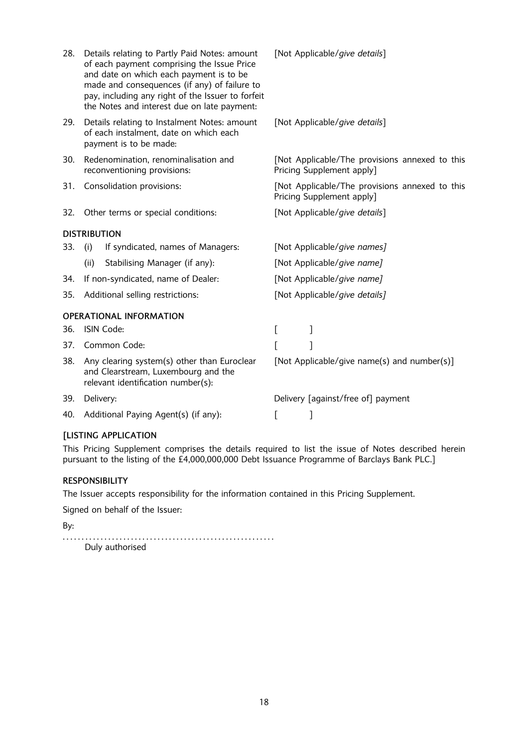| 28. | Details relating to Partly Paid Notes: amount<br>of each payment comprising the Issue Price<br>and date on which each payment is to be<br>made and consequences (if any) of failure to<br>pay, including any right of the Issuer to forfeit<br>the Notes and interest due on late payment: | [Not Applicable/give details]                                               |
|-----|--------------------------------------------------------------------------------------------------------------------------------------------------------------------------------------------------------------------------------------------------------------------------------------------|-----------------------------------------------------------------------------|
| 29. | Details relating to Instalment Notes: amount<br>of each instalment, date on which each<br>payment is to be made:                                                                                                                                                                           | [Not Applicable/give details]                                               |
| 30. | Redenomination, renominalisation and<br>reconventioning provisions:                                                                                                                                                                                                                        | [Not Applicable/The provisions annexed to this<br>Pricing Supplement apply] |
| 31. | Consolidation provisions:                                                                                                                                                                                                                                                                  | [Not Applicable/The provisions annexed to this<br>Pricing Supplement apply] |
| 32. | Other terms or special conditions:                                                                                                                                                                                                                                                         | [Not Applicable/give details]                                               |
|     | <b>DISTRIBUTION</b>                                                                                                                                                                                                                                                                        |                                                                             |
| 33. | (i)<br>If syndicated, names of Managers:                                                                                                                                                                                                                                                   | [Not Applicable/give names]                                                 |
|     | Stabilising Manager (if any):<br>(ii)                                                                                                                                                                                                                                                      | [Not Applicable/give name]                                                  |
| 34. | If non-syndicated, name of Dealer:                                                                                                                                                                                                                                                         | [Not Applicable/give name]                                                  |
| 35. | Additional selling restrictions:                                                                                                                                                                                                                                                           | [Not Applicable/give details]                                               |
|     | <b>OPERATIONAL INFORMATION</b>                                                                                                                                                                                                                                                             |                                                                             |
| 36. | ISIN Code:                                                                                                                                                                                                                                                                                 | [<br>1                                                                      |
| 37. | Common Code:                                                                                                                                                                                                                                                                               |                                                                             |
| 38. | Any clearing system(s) other than Euroclear<br>and Clearstream, Luxembourg and the<br>relevant identification number(s):                                                                                                                                                                   | [Not Applicable/give name(s) and number(s)]                                 |
| 39. | Delivery:                                                                                                                                                                                                                                                                                  | Delivery [against/free of] payment                                          |
| 40. | Additional Paying Agent(s) (if any):                                                                                                                                                                                                                                                       | 1<br>L                                                                      |

# [LISTING APPLICATION

This Pricing Supplement comprises the details required to list the issue of Notes described herein pursuant to the listing of the £4,000,000,000 Debt Issuance Programme of Barclays Bank PLC.]

# RESPONSIBILITY

The Issuer accepts responsibility for the information contained in this Pricing Supplement.

Signed on behalf of the Issuer:

By:

. . . . . . . . . . . . . . . . . . . . . . . . . . . . . . . . . . . . . . . . . . . . . . . . . . . . . . . . Duly authorised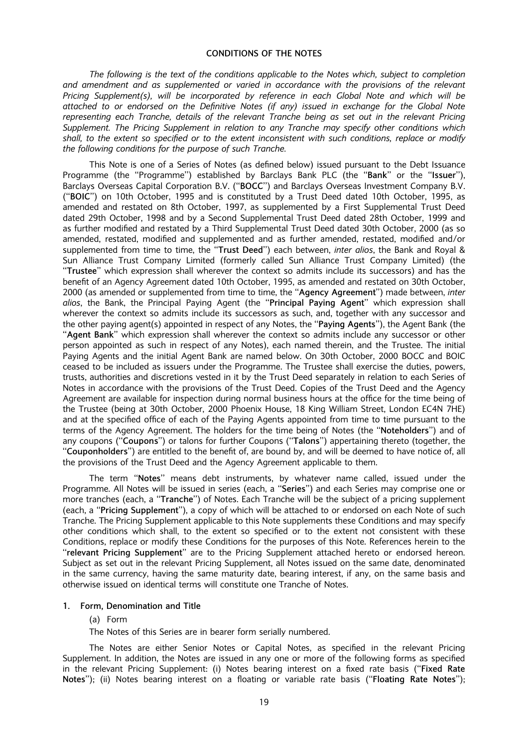#### CONDITIONS OF THE NOTES

The following is the text of the conditions applicable to the Notes which, subject to completion and amendment and as supplemented or varied in accordance with the provisions of the relevant Pricing Supplement(s), will be incorporated by reference in each Global Note and which will be attached to or endorsed on the Definitive Notes (if any) issued in exchange for the Global Note representing each Tranche, details of the relevant Tranche being as set out in the relevant Pricing Supplement. The Pricing Supplement in relation to any Tranche may specify other conditions which shall, to the extent so specified or to the extent inconsistent with such conditions, replace or modify the following conditions for the purpose of such Tranche.

This Note is one of a Series of Notes (as defined below) issued pursuant to the Debt Issuance Programme (the "Programme") established by Barclays Bank PLC (the "Bank" or the "Issuer"), Barclays Overseas Capital Corporation B.V. ("BOCC") and Barclays Overseas Investment Company B.V. (``BOIC'') on 10th October, 1995 and is constituted by a Trust Deed dated 10th October, 1995, as amended and restated on 8th October, 1997, as supplemented by a First Supplemental Trust Deed dated 29th October, 1998 and by a Second Supplemental Trust Deed dated 28th October, 1999 and as further modified and restated by a Third Supplemental Trust Deed dated 30th October, 2000 (as so amended, restated, modified and supplemented and as further amended, restated, modified and/or supplemented from time to time, the "Trust Deed") each between, inter alios, the Bank and Royal & Sun Alliance Trust Company Limited (formerly called Sun Alliance Trust Company Limited) (the ``Trustee'' which expression shall wherever the context so admits include its successors) and has the benefit of an Agency Agreement dated 10th October, 1995, as amended and restated on 30th October, 2000 (as amended or supplemented from time to time, the "Agency Agreement") made between, inter alios, the Bank, the Principal Paying Agent (the "Principal Paying Agent" which expression shall wherever the context so admits include its successors as such, and, together with any successor and the other paying agent(s) appointed in respect of any Notes, the "Paying Agents"), the Agent Bank (the "Agent Bank" which expression shall wherever the context so admits include any successor or other person appointed as such in respect of any Notes), each named therein, and the Trustee. The initial Paying Agents and the initial Agent Bank are named below. On 30th October, 2000 BOCC and BOIC ceased to be included as issuers under the Programme. The Trustee shall exercise the duties, powers, trusts, authorities and discretions vested in it by the Trust Deed separately in relation to each Series of Notes in accordance with the provisions of the Trust Deed. Copies of the Trust Deed and the Agency Agreement are available for inspection during normal business hours at the office for the time being of the Trustee (being at 30th October, 2000 Phoenix House, 18 King William Street, London EC4N 7HE) and at the specified office of each of the Paying Agents appointed from time to time pursuant to the terms of the Agency Agreement. The holders for the time being of Notes (the "Noteholders") and of any coupons ("Coupons") or talons for further Coupons ("Talons") appertaining thereto (together, the "Couponholders") are entitled to the benefit of, are bound by, and will be deemed to have notice of, all the provisions of the Trust Deed and the Agency Agreement applicable to them.

The term "Notes" means debt instruments, by whatever name called, issued under the Programme. All Notes will be issued in series (each, a "Series") and each Series may comprise one or more tranches (each, a "Tranche") of Notes. Each Tranche will be the subject of a pricing supplement (each, a "Pricing Supplement"), a copy of which will be attached to or endorsed on each Note of such Tranche. The Pricing Supplement applicable to this Note supplements these Conditions and may specify other conditions which shall, to the extent so specified or to the extent not consistent with these Conditions, replace or modify these Conditions for the purposes of this Note. References herein to the "relevant Pricing Supplement" are to the Pricing Supplement attached hereto or endorsed hereon. Subject as set out in the relevant Pricing Supplement, all Notes issued on the same date, denominated in the same currency, having the same maturity date, bearing interest, if any, on the same basis and otherwise issued on identical terms will constitute one Tranche of Notes.

#### 1. Form, Denomination and Title

#### (a) Form

The Notes of this Series are in bearer form serially numbered.

The Notes are either Senior Notes or Capital Notes, as specified in the relevant Pricing Supplement. In addition, the Notes are issued in any one or more of the following forms as specified in the relevant Pricing Supplement: (i) Notes bearing interest on a fixed rate basis ("Fixed Rate Notes"); (ii) Notes bearing interest on a floating or variable rate basis ("Floating Rate Notes");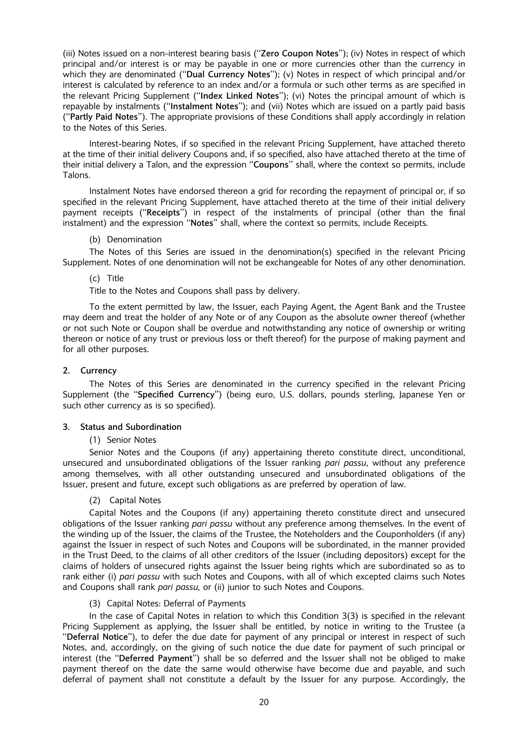(iii) Notes issued on a non-interest bearing basis ("Zero Coupon Notes"); (iv) Notes in respect of which principal and/or interest is or may be payable in one or more currencies other than the currency in which they are denominated ("Dual Currency Notes"); (v) Notes in respect of which principal and/or interest is calculated by reference to an index and/or a formula or such other terms as are specified in the relevant Pricing Supplement ("Index Linked Notes"); (vi) Notes the principal amount of which is repayable by instalments ("Instalment Notes"); and (vii) Notes which are issued on a partly paid basis (``Partly Paid Notes''). The appropriate provisions of these Conditions shall apply accordingly in relation to the Notes of this Series.

Interest-bearing Notes, if so specified in the relevant Pricing Supplement, have attached thereto at the time of their initial delivery Coupons and, if so specified, also have attached thereto at the time of their initial delivery a Talon, and the expression "Coupons" shall, where the context so permits, include Talons.

Instalment Notes have endorsed thereon a grid for recording the repayment of principal or, if so specified in the relevant Pricing Supplement, have attached thereto at the time of their initial delivery payment receipts ("Receipts") in respect of the instalments of principal (other than the final instalment) and the expression "Notes" shall, where the context so permits, include Receipts.

#### (b) Denomination

The Notes of this Series are issued in the denomination(s) specified in the relevant Pricing Supplement. Notes of one denomination will not be exchangeable for Notes of any other denomination.

#### (c) Title

Title to the Notes and Coupons shall pass by delivery.

To the extent permitted by law, the Issuer, each Paying Agent, the Agent Bank and the Trustee may deem and treat the holder of any Note or of any Coupon as the absolute owner thereof (whether or not such Note or Coupon shall be overdue and notwithstanding any notice of ownership or writing thereon or notice of any trust or previous loss or theft thereof) for the purpose of making payment and for all other purposes.

### 2. Currency

The Notes of this Series are denominated in the currency specified in the relevant Pricing Supplement (the "Specified Currency") (being euro, U.S. dollars, pounds sterling, Japanese Yen or such other currency as is so specified).

#### 3. Status and Subordination

#### (1) Senior Notes

Senior Notes and the Coupons (if any) appertaining thereto constitute direct, unconditional, unsecured and unsubordinated obligations of the Issuer ranking pari passu, without any preference among themselves, with all other outstanding unsecured and unsubordinated obligations of the Issuer, present and future, except such obligations as are preferred by operation of law.

# (2) Capital Notes

Capital Notes and the Coupons (if any) appertaining thereto constitute direct and unsecured obligations of the Issuer ranking pari passu without any preference among themselves. In the event of the winding up of the Issuer, the claims of the Trustee, the Noteholders and the Couponholders (if any) against the Issuer in respect of such Notes and Coupons will be subordinated, in the manner provided in the Trust Deed, to the claims of all other creditors of the Issuer (including depositors) except for the claims of holders of unsecured rights against the Issuer being rights which are subordinated so as to rank either (i) pari passu with such Notes and Coupons, with all of which excepted claims such Notes and Coupons shall rank pari passu, or (ii) junior to such Notes and Coupons.

#### (3) Capital Notes: Deferral of Payments

In the case of Capital Notes in relation to which this Condition  $3(3)$  is specified in the relevant Pricing Supplement as applying, the Issuer shall be entitled, by notice in writing to the Trustee (a ``Deferral Notice''), to defer the due date for payment of any principal or interest in respect of such Notes, and, accordingly, on the giving of such notice the due date for payment of such principal or interest (the "Deferred Payment") shall be so deferred and the Issuer shall not be obliged to make payment thereof on the date the same would otherwise have become due and payable, and such deferral of payment shall not constitute a default by the Issuer for any purpose. Accordingly, the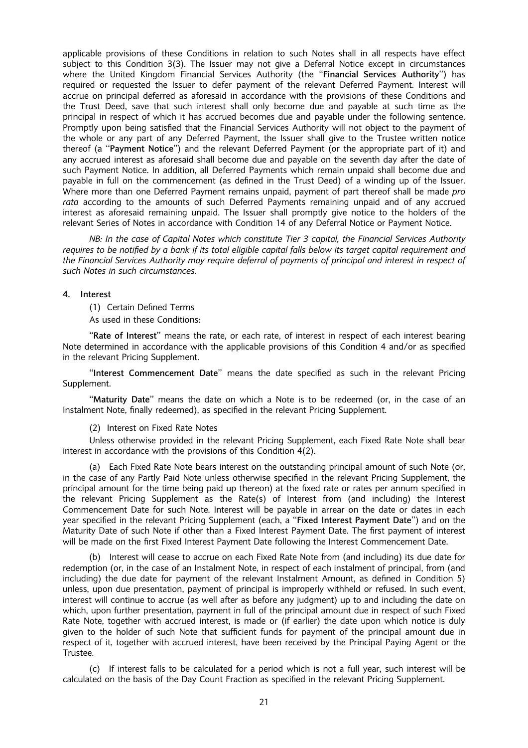applicable provisions of these Conditions in relation to such Notes shall in all respects have effect subject to this Condition 3(3). The Issuer may not give a Deferral Notice except in circumstances where the United Kingdom Financial Services Authority (the "Financial Services Authority") has required or requested the Issuer to defer payment of the relevant Deferred Payment. Interest will accrue on principal deferred as aforesaid in accordance with the provisions of these Conditions and the Trust Deed, save that such interest shall only become due and payable at such time as the principal in respect of which it has accrued becomes due and payable under the following sentence. Promptly upon being satisfied that the Financial Services Authority will not object to the payment of the whole or any part of any Deferred Payment, the Issuer shall give to the Trustee written notice thereof (a "Payment Notice") and the relevant Deferred Payment (or the appropriate part of it) and any accrued interest as aforesaid shall become due and payable on the seventh day after the date of such Payment Notice. In addition, all Deferred Payments which remain unpaid shall become due and payable in full on the commencement (as defined in the Trust Deed) of a winding up of the Issuer. Where more than one Deferred Payment remains unpaid, payment of part thereof shall be made pro rata according to the amounts of such Deferred Payments remaining unpaid and of any accrued interest as aforesaid remaining unpaid. The Issuer shall promptly give notice to the holders of the relevant Series of Notes in accordance with Condition 14 of any Deferral Notice or Payment Notice.

NB: In the case of Capital Notes which constitute Tier 3 capital, the Financial Services Authority requires to be notified by a bank if its total eligible capital falls below its target capital requirement and the Financial Services Authority may require deferral of payments of principal and interest in respect of such Notes in such circumstances.

#### 4. Interest

(1) Certain Defined Terms

As used in these Conditions:

"Rate of Interest" means the rate, or each rate, of interest in respect of each interest bearing Note determined in accordance with the applicable provisions of this Condition 4 and/or as specified in the relevant Pricing Supplement.

"Interest Commencement Date" means the date specified as such in the relevant Pricing Supplement.

"Maturity Date" means the date on which a Note is to be redeemed (or, in the case of an Instalment Note, finally redeemed), as specified in the relevant Pricing Supplement.

(2) Interest on Fixed Rate Notes

Unless otherwise provided in the relevant Pricing Supplement, each Fixed Rate Note shall bear interest in accordance with the provisions of this Condition 4(2).

(a) Each Fixed Rate Note bears interest on the outstanding principal amount of such Note (or, in the case of any Partly Paid Note unless otherwise specified in the relevant Pricing Supplement, the principal amount for the time being paid up thereon) at the fixed rate or rates per annum specified in the relevant Pricing Supplement as the Rate(s) of Interest from (and including) the Interest Commencement Date for such Note. Interest will be payable in arrear on the date or dates in each year specified in the relevant Pricing Supplement (each, a "Fixed Interest Payment Date") and on the Maturity Date of such Note if other than a Fixed Interest Payment Date. The first payment of interest will be made on the first Fixed Interest Payment Date following the Interest Commencement Date.

(b) Interest will cease to accrue on each Fixed Rate Note from (and including) its due date for redemption (or, in the case of an Instalment Note, in respect of each instalment of principal, from (and including) the due date for payment of the relevant Instalment Amount, as defined in Condition 5) unless, upon due presentation, payment of principal is improperly withheld or refused. In such event, interest will continue to accrue (as well after as before any judgment) up to and including the date on which, upon further presentation, payment in full of the principal amount due in respect of such Fixed Rate Note, together with accrued interest, is made or (if earlier) the date upon which notice is duly given to the holder of such Note that sufficient funds for payment of the principal amount due in respect of it, together with accrued interest, have been received by the Principal Paying Agent or the Trustee.

(c) If interest falls to be calculated for a period which is not a full year, such interest will be calculated on the basis of the Day Count Fraction as specified in the relevant Pricing Supplement.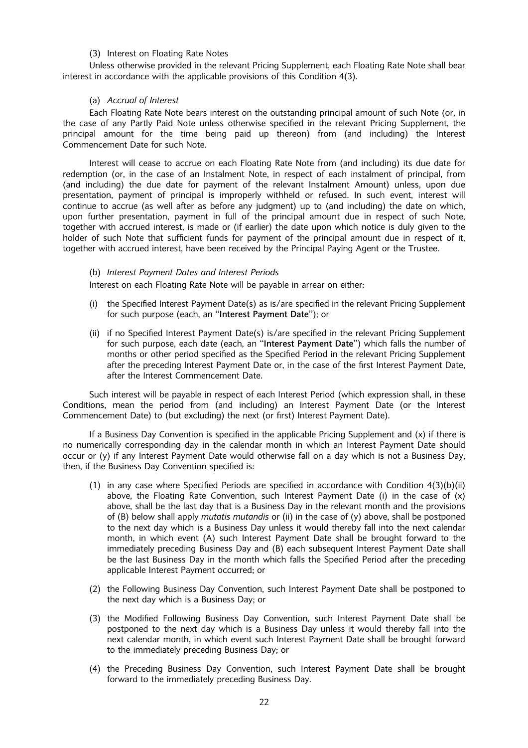#### (3) Interest on Floating Rate Notes

Unless otherwise provided in the relevant Pricing Supplement, each Floating Rate Note shall bear interest in accordance with the applicable provisions of this Condition 4(3).

## (a) Accrual of Interest

Each Floating Rate Note bears interest on the outstanding principal amount of such Note (or, in the case of any Partly Paid Note unless otherwise specified in the relevant Pricing Supplement, the principal amount for the time being paid up thereon) from (and including) the Interest Commencement Date for such Note.

Interest will cease to accrue on each Floating Rate Note from (and including) its due date for redemption (or, in the case of an Instalment Note, in respect of each instalment of principal, from (and including) the due date for payment of the relevant Instalment Amount) unless, upon due presentation, payment of principal is improperly withheld or refused. In such event, interest will continue to accrue (as well after as before any judgment) up to (and including) the date on which, upon further presentation, payment in full of the principal amount due in respect of such Note, together with accrued interest, is made or (if earlier) the date upon which notice is duly given to the holder of such Note that sufficient funds for payment of the principal amount due in respect of it, together with accrued interest, have been received by the Principal Paying Agent or the Trustee.

#### (b) Interest Payment Dates and Interest Periods

Interest on each Floating Rate Note will be payable in arrear on either:

- (i) the Specified Interest Payment Date(s) as is/are specified in the relevant Pricing Supplement for such purpose (each, an "Interest Payment Date"); or
- (ii) if no Specified Interest Payment Date(s) is/are specified in the relevant Pricing Supplement for such purpose, each date (each, an "Interest Payment Date") which falls the number of months or other period specified as the Specified Period in the relevant Pricing Supplement after the preceding Interest Payment Date or, in the case of the first Interest Payment Date, after the Interest Commencement Date.

Such interest will be payable in respect of each Interest Period (which expression shall, in these Conditions, mean the period from (and including) an Interest Payment Date (or the Interest Commencement Date) to (but excluding) the next (or first) Interest Payment Date).

If a Business Day Convention is specified in the applicable Pricing Supplement and  $(x)$  if there is no numerically corresponding day in the calendar month in which an Interest Payment Date should occur or (y) if any Interest Payment Date would otherwise fall on a day which is not a Business Day, then, if the Business Day Convention specified is:

- (1) in any case where Specified Periods are specified in accordance with Condition  $4(3)(b)(ii)$ above, the Floating Rate Convention, such Interest Payment Date (i) in the case of  $(x)$ above, shall be the last day that is a Business Day in the relevant month and the provisions of (B) below shall apply *mutatis mutandis* or (ii) in the case of (y) above, shall be postponed to the next day which is a Business Day unless it would thereby fall into the next calendar month, in which event (A) such Interest Payment Date shall be brought forward to the immediately preceding Business Day and (B) each subsequent Interest Payment Date shall be the last Business Day in the month which falls the Specified Period after the preceding applicable Interest Payment occurred; or
- (2) the Following Business Day Convention, such Interest Payment Date shall be postponed to the next day which is a Business Day; or
- (3) the Modified Following Business Day Convention, such Interest Payment Date shall be postponed to the next day which is a Business Day unless it would thereby fall into the next calendar month, in which event such Interest Payment Date shall be brought forward to the immediately preceding Business Day; or
- (4) the Preceding Business Day Convention, such Interest Payment Date shall be brought forward to the immediately preceding Business Day.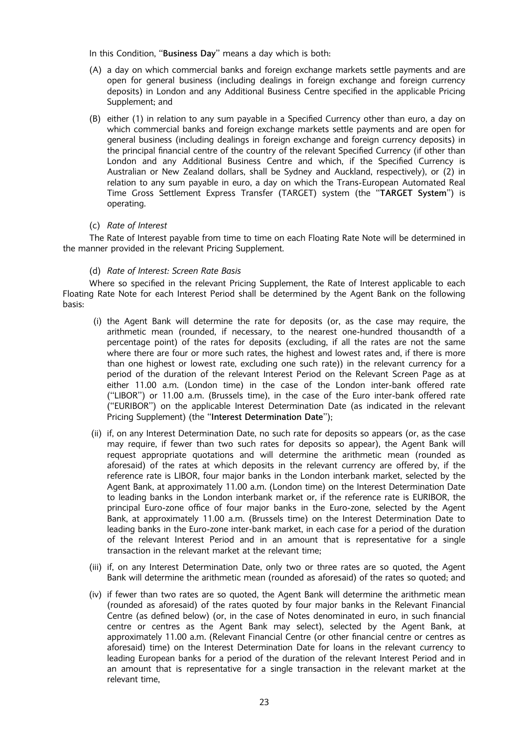In this Condition, "Business Day" means a day which is both:

- (A) a day on which commercial banks and foreign exchange markets settle payments and are open for general business (including dealings in foreign exchange and foreign currency deposits) in London and any Additional Business Centre specified in the applicable Pricing Supplement; and
- (B) either (1) in relation to any sum payable in a Specified Currency other than euro, a day on which commercial banks and foreign exchange markets settle payments and are open for general business (including dealings in foreign exchange and foreign currency deposits) in the principal financial centre of the country of the relevant Specified Currency (if other than London and any Additional Business Centre and which, if the Specified Currency is Australian or New Zealand dollars, shall be Sydney and Auckland, respectively), or (2) in relation to any sum payable in euro, a day on which the Trans-European Automated Real Time Gross Settlement Express Transfer (TARGET) system (the "TARGET System") is operating.

#### (c) Rate of Interest

The Rate of Interest payable from time to time on each Floating Rate Note will be determined in the manner provided in the relevant Pricing Supplement.

#### (d) Rate of Interest: Screen Rate Basis

Where so specified in the relevant Pricing Supplement, the Rate of Interest applicable to each Floating Rate Note for each Interest Period shall be determined by the Agent Bank on the following basis:

- (i) the Agent Bank will determine the rate for deposits (or, as the case may require, the arithmetic mean (rounded, if necessary, to the nearest one-hundred thousandth of a percentage point) of the rates for deposits (excluding, if all the rates are not the same where there are four or more such rates, the highest and lowest rates and, if there is more than one highest or lowest rate, excluding one such rate)) in the relevant currency for a period of the duration of the relevant Interest Period on the Relevant Screen Page as at either 11.00 a.m. (London time) in the case of the London inter-bank offered rate (``LIBOR'') or 11.00 a.m. (Brussels time), in the case of the Euro inter-bank offered rate (``EURIBOR'') on the applicable Interest Determination Date (as indicated in the relevant Pricing Supplement) (the "Interest Determination Date"):
- (ii) if, on any Interest Determination Date, no such rate for deposits so appears (or, as the case may require, if fewer than two such rates for deposits so appear), the Agent Bank will request appropriate quotations and will determine the arithmetic mean (rounded as aforesaid) of the rates at which deposits in the relevant currency are offered by, if the reference rate is LIBOR, four major banks in the London interbank market, selected by the Agent Bank, at approximately 11.00 a.m. (London time) on the Interest Determination Date to leading banks in the London interbank market or, if the reference rate is EURIBOR, the principal Euro-zone office of four major banks in the Euro-zone, selected by the Agent Bank, at approximately 11.00 a.m. (Brussels time) on the Interest Determination Date to leading banks in the Euro-zone inter-bank market, in each case for a period of the duration of the relevant Interest Period and in an amount that is representative for a single transaction in the relevant market at the relevant time;
- (iii) if, on any Interest Determination Date, only two or three rates are so quoted, the Agent Bank will determine the arithmetic mean (rounded as aforesaid) of the rates so quoted; and
- (iv) if fewer than two rates are so quoted, the Agent Bank will determine the arithmetic mean (rounded as aforesaid) of the rates quoted by four major banks in the Relevant Financial Centre (as defined below) (or, in the case of Notes denominated in euro, in such financial centre or centres as the Agent Bank may select), selected by the Agent Bank, at approximately 11.00 a.m. (Relevant Financial Centre (or other financial centre or centres as aforesaid) time) on the Interest Determination Date for loans in the relevant currency to leading European banks for a period of the duration of the relevant Interest Period and in an amount that is representative for a single transaction in the relevant market at the relevant time,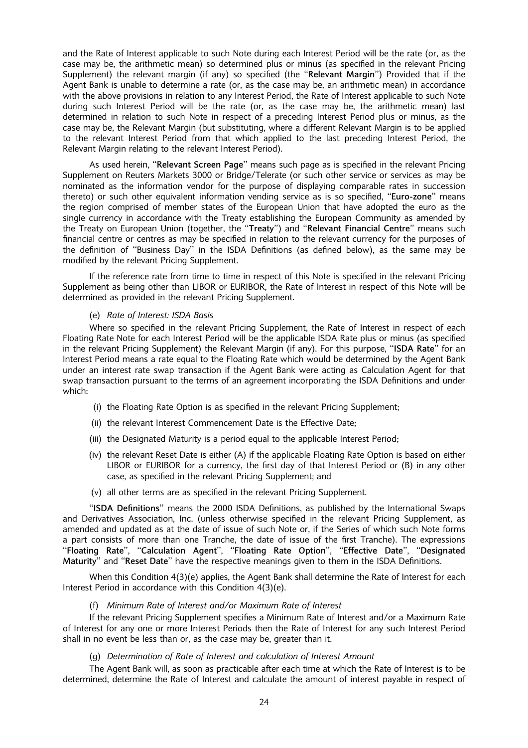and the Rate of Interest applicable to such Note during each Interest Period will be the rate (or, as the case may be, the arithmetic mean) so determined plus or minus (as specified in the relevant Pricing Supplement) the relevant margin (if any) so specified (the "Relevant Margin") Provided that if the Agent Bank is unable to determine a rate (or, as the case may be, an arithmetic mean) in accordance with the above provisions in relation to any Interest Period, the Rate of Interest applicable to such Note during such Interest Period will be the rate (or, as the case may be, the arithmetic mean) last determined in relation to such Note in respect of a preceding Interest Period plus or minus, as the case may be, the Relevant Margin (but substituting, where a different Relevant Margin is to be applied to the relevant Interest Period from that which applied to the last preceding Interest Period, the Relevant Margin relating to the relevant Interest Period).

As used herein, "Relevant Screen Page" means such page as is specified in the relevant Pricing Supplement on Reuters Markets 3000 or Bridge/Telerate (or such other service or services as may be nominated as the information vendor for the purpose of displaying comparable rates in succession thereto) or such other equivalent information vending service as is so specified, "Euro-zone" means the region comprised of member states of the European Union that have adopted the euro as the single currency in accordance with the Treaty establishing the European Community as amended by the Treaty on European Union (together, the "Treaty") and "Relevant Financial Centre" means such financial centre or centres as may be specified in relation to the relevant currency for the purposes of the definition of "Business Day" in the ISDA Definitions (as defined below), as the same may be modified by the relevant Pricing Supplement.

If the reference rate from time to time in respect of this Note is specified in the relevant Pricing Supplement as being other than LIBOR or EURIBOR, the Rate of Interest in respect of this Note will be determined as provided in the relevant Pricing Supplement.

#### (e) Rate of Interest: ISDA Basis

Where so specified in the relevant Pricing Supplement, the Rate of Interest in respect of each Floating Rate Note for each Interest Period will be the applicable ISDA Rate plus or minus (as specified in the relevant Pricing Supplement) the Relevant Margin (if any). For this purpose, "ISDA Rate" for an Interest Period means a rate equal to the Floating Rate which would be determined by the Agent Bank under an interest rate swap transaction if the Agent Bank were acting as Calculation Agent for that swap transaction pursuant to the terms of an agreement incorporating the ISDA Definitions and under which:

- (i) the Floating Rate Option is as specified in the relevant Pricing Supplement;
- (ii) the relevant Interest Commencement Date is the Effective Date;
- (iii) the Designated Maturity is a period equal to the applicable Interest Period;
- (iv) the relevant Reset Date is either (A) if the applicable Floating Rate Option is based on either LIBOR or EURIBOR for a currency, the first day of that Interest Period or  $(B)$  in any other case, as specified in the relevant Pricing Supplement; and
- $(v)$  all other terms are as specified in the relevant Pricing Supplement.

"ISDA Definitions" means the 2000 ISDA Definitions, as published by the International Swaps and Derivatives Association, Inc. (unless otherwise specified in the relevant Pricing Supplement, as amended and updated as at the date of issue of such Note or, if the Series of which such Note forms a part consists of more than one Tranche, the date of issue of the first Tranche). The expressions ``Floating Rate'', ``Calculation Agent'', ``Floating Rate Option'', ``Effective Date'', ``Designated Maturity" and "Reset Date" have the respective meanings given to them in the ISDA Definitions.

When this Condition 4(3)(e) applies, the Agent Bank shall determine the Rate of Interest for each Interest Period in accordance with this Condition 4(3)(e).

#### (f) Minimum Rate of Interest and/or Maximum Rate of Interest

If the relevant Pricing Supplement specifies a Minimum Rate of Interest and/or a Maximum Rate of Interest for any one or more Interest Periods then the Rate of Interest for any such Interest Period shall in no event be less than or, as the case may be, greater than it.

#### (g) Determination of Rate of Interest and calculation of Interest Amount

The Agent Bank will, as soon as practicable after each time at which the Rate of Interest is to be determined, determine the Rate of Interest and calculate the amount of interest payable in respect of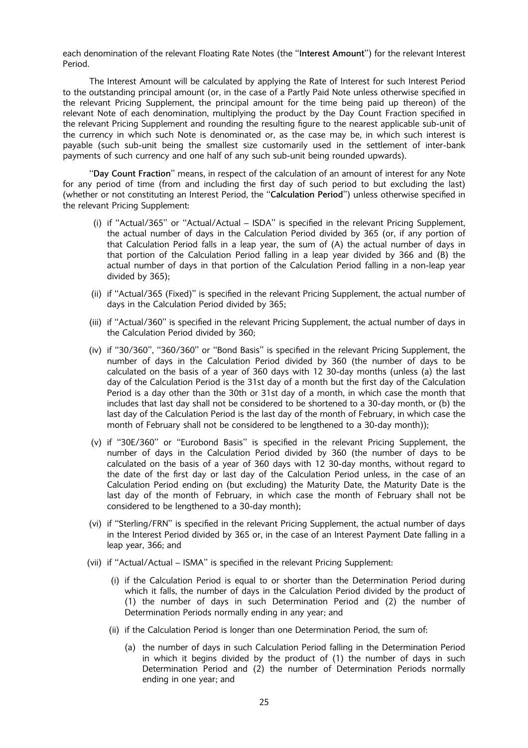each denomination of the relevant Floating Rate Notes (the "Interest Amount") for the relevant Interest Period.

The Interest Amount will be calculated by applying the Rate of Interest for such Interest Period to the outstanding principal amount (or, in the case of a Partly Paid Note unless otherwise specified in the relevant Pricing Supplement, the principal amount for the time being paid up thereon) of the relevant Note of each denomination, multiplying the product by the Day Count Fraction specified in the relevant Pricing Supplement and rounding the resulting figure to the nearest applicable sub-unit of the currency in which such Note is denominated or, as the case may be, in which such interest is payable (such sub-unit being the smallest size customarily used in the settlement of inter-bank payments of such currency and one half of any such sub-unit being rounded upwards).

``Day Count Fraction'' means, in respect of the calculation of an amount of interest for any Note for any period of time (from and including the first day of such period to but excluding the last) (whether or not constituting an Interest Period, the "Calculation Period") unless otherwise specified in the relevant Pricing Supplement:

- (i) if "Actual/365" or "Actual/Actual  $-$  ISDA" is specified in the relevant Pricing Supplement, the actual number of days in the Calculation Period divided by 365 (or, if any portion of that Calculation Period falls in a leap year, the sum of (A) the actual number of days in that portion of the Calculation Period falling in a leap year divided by 366 and (B) the actual number of days in that portion of the Calculation Period falling in a non-leap year divided by 365);
- (ii) if "Actual/365 (Fixed)" is specified in the relevant Pricing Supplement, the actual number of days in the Calculation Period divided by 365;
- (iii) if "Actual/360" is specified in the relevant Pricing Supplement, the actual number of days in the Calculation Period divided by 360;
- $(iv)$  if "30/360", "360/360" or "Bond Basis" is specified in the relevant Pricing Supplement, the number of days in the Calculation Period divided by 360 (the number of days to be calculated on the basis of a year of 360 days with 12 30-day months (unless (a) the last day of the Calculation Period is the 31st day of a month but the first day of the Calculation Period is a day other than the 30th or 31st day of a month, in which case the month that includes that last day shall not be considered to be shortened to a 30-day month, or (b) the last day of the Calculation Period is the last day of the month of February, in which case the month of February shall not be considered to be lengthened to a 30-day month));
- (v) if "30E/360" or "Eurobond Basis" is specified in the relevant Pricing Supplement, the number of days in the Calculation Period divided by 360 (the number of days to be calculated on the basis of a year of 360 days with 12 30-day months, without regard to the date of the first day or last day of the Calculation Period unless, in the case of an Calculation Period ending on (but excluding) the Maturity Date, the Maturity Date is the last day of the month of February, in which case the month of February shall not be considered to be lengthened to a 30-day month);
- (vi) if "Sterling/FRN" is specified in the relevant Pricing Supplement, the actual number of days in the Interest Period divided by 365 or, in the case of an Interest Payment Date falling in a leap year, 366; and
- (vii) if "Actual/Actual ISMA" is specified in the relevant Pricing Supplement:
	- (i) if the Calculation Period is equal to or shorter than the Determination Period during which it falls, the number of days in the Calculation Period divided by the product of (1) the number of days in such Determination Period and (2) the number of Determination Periods normally ending in any year; and
	- (ii) if the Calculation Period is longer than one Determination Period, the sum of:
		- (a) the number of days in such Calculation Period falling in the Determination Period in which it begins divided by the product of (1) the number of days in such Determination Period and (2) the number of Determination Periods normally ending in one year; and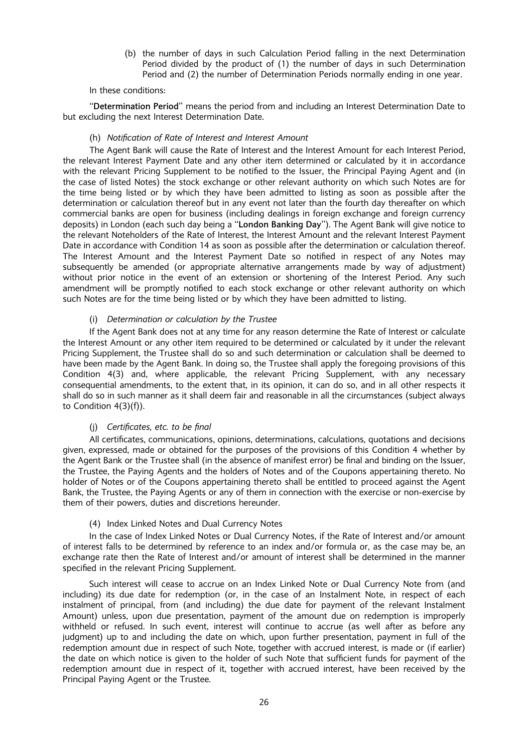(b) the number of days in such Calculation Period falling in the next Determination Period divided by the product of (1) the number of days in such Determination Period and (2) the number of Determination Periods normally ending in one year.

#### In these conditions:

``Determination Period'' means the period from and including an Interest Determination Date to but excluding the next Interest Determination Date.

#### (h) Notification of Rate of Interest and Interest Amount

The Agent Bank will cause the Rate of Interest and the Interest Amount for each Interest Period, the relevant Interest Payment Date and any other item determined or calculated by it in accordance with the relevant Pricing Supplement to be notified to the Issuer, the Principal Paying Agent and (in the case of listed Notes) the stock exchange or other relevant authority on which such Notes are for the time being listed or by which they have been admitted to listing as soon as possible after the determination or calculation thereof but in any event not later than the fourth day thereafter on which commercial banks are open for business (including dealings in foreign exchange and foreign currency deposits) in London (each such day being a "London Banking Day"). The Agent Bank will give notice to the relevant Noteholders of the Rate of Interest, the Interest Amount and the relevant Interest Payment Date in accordance with Condition 14 as soon as possible after the determination or calculation thereof. The Interest Amount and the Interest Payment Date so notified in respect of any Notes may subsequently be amended (or appropriate alternative arrangements made by way of adjustment) without prior notice in the event of an extension or shortening of the Interest Period. Any such amendment will be promptly notified to each stock exchange or other relevant authority on which such Notes are for the time being listed or by which they have been admitted to listing.

### (i) Determination or calculation by the Trustee

If the Agent Bank does not at any time for any reason determine the Rate of Interest or calculate the Interest Amount or any other item required to be determined or calculated by it under the relevant Pricing Supplement, the Trustee shall do so and such determination or calculation shall be deemed to have been made by the Agent Bank. In doing so, the Trustee shall apply the foregoing provisions of this Condition 4(3) and, where applicable, the relevant Pricing Supplement, with any necessary consequential amendments, to the extent that, in its opinion, it can do so, and in all other respects it shall do so in such manner as it shall deem fair and reasonable in all the circumstances (subject always to Condition 4(3)(f)).

#### (j) Certificates, etc. to be final

All certificates, communications, opinions, determinations, calculations, quotations and decisions given, expressed, made or obtained for the purposes of the provisions of this Condition 4 whether by the Agent Bank or the Trustee shall (in the absence of manifest error) be final and binding on the Issuer, the Trustee, the Paying Agents and the holders of Notes and of the Coupons appertaining thereto. No holder of Notes or of the Coupons appertaining thereto shall be entitled to proceed against the Agent Bank, the Trustee, the Paying Agents or any of them in connection with the exercise or non-exercise by them of their powers, duties and discretions hereunder.

#### (4) Index Linked Notes and Dual Currency Notes

In the case of Index Linked Notes or Dual Currency Notes, if the Rate of Interest and/or amount of interest falls to be determined by reference to an index and/or formula or, as the case may be, an exchange rate then the Rate of Interest and/or amount of interest shall be determined in the manner specified in the relevant Pricing Supplement.

Such interest will cease to accrue on an Index Linked Note or Dual Currency Note from (and including) its due date for redemption (or, in the case of an Instalment Note, in respect of each instalment of principal, from (and including) the due date for payment of the relevant Instalment Amount) unless, upon due presentation, payment of the amount due on redemption is improperly withheld or refused. In such event, interest will continue to accrue (as well after as before any judgment) up to and including the date on which, upon further presentation, payment in full of the redemption amount due in respect of such Note, together with accrued interest, is made or (if earlier) the date on which notice is given to the holder of such Note that sufficient funds for payment of the redemption amount due in respect of it, together with accrued interest, have been received by the Principal Paying Agent or the Trustee.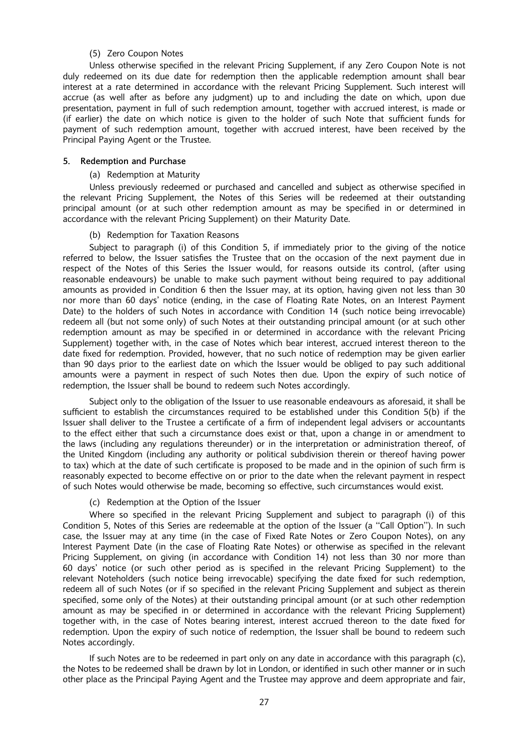#### (5) Zero Coupon Notes

Unless otherwise specified in the relevant Pricing Supplement, if any Zero Coupon Note is not duly redeemed on its due date for redemption then the applicable redemption amount shall bear interest at a rate determined in accordance with the relevant Pricing Supplement. Such interest will accrue (as well after as before any judgment) up to and including the date on which, upon due presentation, payment in full of such redemption amount, together with accrued interest, is made or (if earlier) the date on which notice is given to the holder of such Note that sufficient funds for payment of such redemption amount, together with accrued interest, have been received by the Principal Paying Agent or the Trustee.

#### 5. Redemption and Purchase

# (a) Redemption at Maturity

Unless previously redeemed or purchased and cancelled and subject as otherwise specified in the relevant Pricing Supplement, the Notes of this Series will be redeemed at their outstanding principal amount (or at such other redemption amount as may be specified in or determined in accordance with the relevant Pricing Supplement) on their Maturity Date.

#### (b) Redemption for Taxation Reasons

Subject to paragraph (i) of this Condition 5, if immediately prior to the giving of the notice referred to below, the Issuer satisfies the Trustee that on the occasion of the next payment due in respect of the Notes of this Series the Issuer would, for reasons outside its control, (after using reasonable endeavours) be unable to make such payment without being required to pay additional amounts as provided in Condition 6 then the Issuer may, at its option, having given not less than 30 nor more than 60 days' notice (ending, in the case of Floating Rate Notes, on an Interest Payment Date) to the holders of such Notes in accordance with Condition 14 (such notice being irrevocable) redeem all (but not some only) of such Notes at their outstanding principal amount (or at such other redemption amount as may be specified in or determined in accordance with the relevant Pricing Supplement) together with, in the case of Notes which bear interest, accrued interest thereon to the date fixed for redemption. Provided, however, that no such notice of redemption may be given earlier than 90 days prior to the earliest date on which the Issuer would be obliged to pay such additional amounts were a payment in respect of such Notes then due. Upon the expiry of such notice of redemption, the Issuer shall be bound to redeem such Notes accordingly.

Subject only to the obligation of the Issuer to use reasonable endeavours as aforesaid, it shall be sufficient to establish the circumstances required to be established under this Condition 5(b) if the Issuer shall deliver to the Trustee a certificate of a firm of independent legal advisers or accountants to the effect either that such a circumstance does exist or that, upon a change in or amendment to the laws (including any regulations thereunder) or in the interpretation or administration thereof, of the United Kingdom (including any authority or political subdivision therein or thereof having power to tax) which at the date of such certificate is proposed to be made and in the opinion of such firm is reasonably expected to become effective on or prior to the date when the relevant payment in respect of such Notes would otherwise be made, becoming so effective, such circumstances would exist.

#### (c) Redemption at the Option of the Issuer

Where so specified in the relevant Pricing Supplement and subject to paragraph (i) of this Condition 5, Notes of this Series are redeemable at the option of the Issuer (a "Call Option"). In such case, the Issuer may at any time (in the case of Fixed Rate Notes or Zero Coupon Notes), on any Interest Payment Date (in the case of Floating Rate Notes) or otherwise as specified in the relevant Pricing Supplement, on giving (in accordance with Condition 14) not less than 30 nor more than 60 days' notice (or such other period as is specified in the relevant Pricing Supplement) to the relevant Noteholders (such notice being irrevocable) specifying the date fixed for such redemption, redeem all of such Notes (or if so specified in the relevant Pricing Supplement and subject as therein specified, some only of the Notes) at their outstanding principal amount (or at such other redemption amount as may be specified in or determined in accordance with the relevant Pricing Supplement) together with, in the case of Notes bearing interest, interest accrued thereon to the date fixed for redemption. Upon the expiry of such notice of redemption, the Issuer shall be bound to redeem such Notes accordingly.

If such Notes are to be redeemed in part only on any date in accordance with this paragraph (c), the Notes to be redeemed shall be drawn by lot in London, or identified in such other manner or in such other place as the Principal Paying Agent and the Trustee may approve and deem appropriate and fair,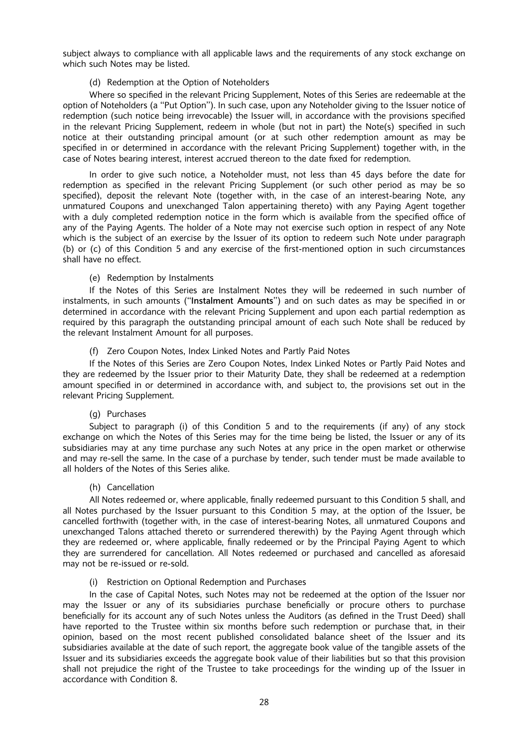subject always to compliance with all applicable laws and the requirements of any stock exchange on which such Notes may be listed.

#### (d) Redemption at the Option of Noteholders

Where so specified in the relevant Pricing Supplement. Notes of this Series are redeemable at the option of Noteholders (a "Put Option"). In such case, upon any Noteholder giving to the Issuer notice of redemption (such notice being irrevocable) the Issuer will, in accordance with the provisions specified in the relevant Pricing Supplement, redeem in whole (but not in part) the Note(s) specified in such notice at their outstanding principal amount (or at such other redemption amount as may be specified in or determined in accordance with the relevant Pricing Supplement) together with, in the case of Notes bearing interest, interest accrued thereon to the date fixed for redemption.

In order to give such notice, a Noteholder must, not less than 45 days before the date for redemption as specified in the relevant Pricing Supplement (or such other period as may be so specified), deposit the relevant Note (together with, in the case of an interest-bearing Note, any unmatured Coupons and unexchanged Talon appertaining thereto) with any Paying Agent together with a duly completed redemption notice in the form which is available from the specified office of any of the Paying Agents. The holder of a Note may not exercise such option in respect of any Note which is the subject of an exercise by the Issuer of its option to redeem such Note under paragraph (b) or (c) of this Condition 5 and any exercise of the first-mentioned option in such circumstances shall have no effect.

### (e) Redemption by Instalments

If the Notes of this Series are Instalment Notes they will be redeemed in such number of instalments, in such amounts ("Instalment Amounts") and on such dates as may be specified in or determined in accordance with the relevant Pricing Supplement and upon each partial redemption as required by this paragraph the outstanding principal amount of each such Note shall be reduced by the relevant Instalment Amount for all purposes.

### (f) Zero Coupon Notes, Index Linked Notes and Partly Paid Notes

If the Notes of this Series are Zero Coupon Notes, Index Linked Notes or Partly Paid Notes and they are redeemed by the Issuer prior to their Maturity Date, they shall be redeemed at a redemption amount specified in or determined in accordance with, and subject to, the provisions set out in the relevant Pricing Supplement.

# (g) Purchases

Subject to paragraph (i) of this Condition 5 and to the requirements (if any) of any stock exchange on which the Notes of this Series may for the time being be listed, the Issuer or any of its subsidiaries may at any time purchase any such Notes at any price in the open market or otherwise and may re-sell the same. In the case of a purchase by tender, such tender must be made available to all holders of the Notes of this Series alike.

#### (h) Cancellation

All Notes redeemed or, where applicable, finally redeemed pursuant to this Condition 5 shall, and all Notes purchased by the Issuer pursuant to this Condition 5 may, at the option of the Issuer, be cancelled forthwith (together with, in the case of interest-bearing Notes, all unmatured Coupons and unexchanged Talons attached thereto or surrendered therewith) by the Paying Agent through which they are redeemed or, where applicable, finally redeemed or by the Principal Paying Agent to which they are surrendered for cancellation. All Notes redeemed or purchased and cancelled as aforesaid may not be re-issued or re-sold.

#### (i) Restriction on Optional Redemption and Purchases

In the case of Capital Notes, such Notes may not be redeemed at the option of the Issuer nor may the Issuer or any of its subsidiaries purchase beneficially or procure others to purchase beneficially for its account any of such Notes unless the Auditors (as defined in the Trust Deed) shall have reported to the Trustee within six months before such redemption or purchase that, in their opinion, based on the most recent published consolidated balance sheet of the Issuer and its subsidiaries available at the date of such report, the aggregate book value of the tangible assets of the Issuer and its subsidiaries exceeds the aggregate book value of their liabilities but so that this provision shall not prejudice the right of the Trustee to take proceedings for the winding up of the Issuer in accordance with Condition 8.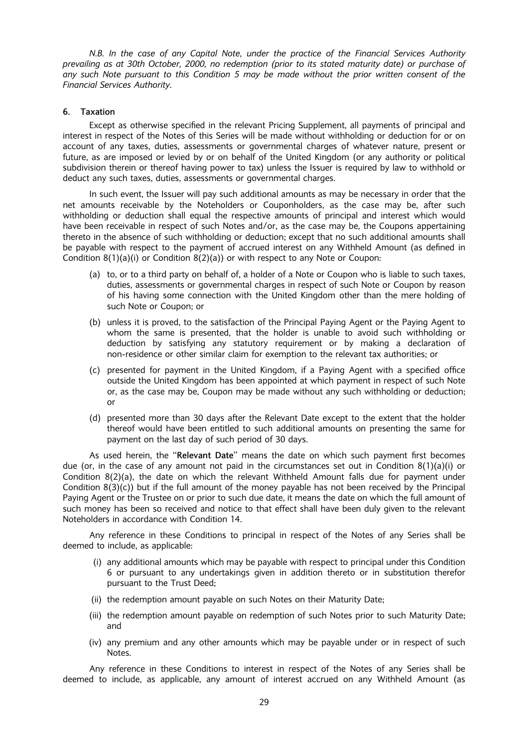N.B. In the case of any Capital Note, under the practice of the Financial Services Authority prevailing as at 30th October, 2000, no redemption (prior to its stated maturity date) or purchase of any such Note pursuant to this Condition 5 may be made without the prior written consent of the Financial Services Authority.

#### 6. Taxation

Except as otherwise specified in the relevant Pricing Supplement, all payments of principal and interest in respect of the Notes of this Series will be made without withholding or deduction for or on account of any taxes, duties, assessments or governmental charges of whatever nature, present or future, as are imposed or levied by or on behalf of the United Kingdom (or any authority or political subdivision therein or thereof having power to tax) unless the Issuer is required by law to withhold or deduct any such taxes, duties, assessments or governmental charges.

In such event, the Issuer will pay such additional amounts as may be necessary in order that the net amounts receivable by the Noteholders or Couponholders, as the case may be, after such withholding or deduction shall equal the respective amounts of principal and interest which would have been receivable in respect of such Notes and/or, as the case may be, the Coupons appertaining thereto in the absence of such withholding or deduction; except that no such additional amounts shall be payable with respect to the payment of accrued interest on any Withheld Amount (as defined in Condition  $8(1)(a)(i)$  or Condition  $8(2)(a)$ ) or with respect to any Note or Coupon:

- (a) to, or to a third party on behalf of, a holder of a Note or Coupon who is liable to such taxes, duties, assessments or governmental charges in respect of such Note or Coupon by reason of his having some connection with the United Kingdom other than the mere holding of such Note or Coupon; or
- (b) unless it is proved, to the satisfaction of the Principal Paying Agent or the Paying Agent to whom the same is presented, that the holder is unable to avoid such withholding or deduction by satisfying any statutory requirement or by making a declaration of non-residence or other similar claim for exemption to the relevant tax authorities; or
- $(c)$  presented for payment in the United Kingdom, if a Paying Agent with a specified office outside the United Kingdom has been appointed at which payment in respect of such Note or, as the case may be, Coupon may be made without any such withholding or deduction; or
- (d) presented more than 30 days after the Relevant Date except to the extent that the holder thereof would have been entitled to such additional amounts on presenting the same for payment on the last day of such period of 30 days.

As used herein, the "Relevant Date" means the date on which such payment first becomes due (or, in the case of any amount not paid in the circumstances set out in Condition 8(1)(a)(i) or Condition 8(2)(a), the date on which the relevant Withheld Amount falls due for payment under Condition 8(3)(c)) but if the full amount of the money payable has not been received by the Principal Paying Agent or the Trustee on or prior to such due date, it means the date on which the full amount of such money has been so received and notice to that effect shall have been duly given to the relevant Noteholders in accordance with Condition 14.

Any reference in these Conditions to principal in respect of the Notes of any Series shall be deemed to include, as applicable:

- (i) any additional amounts which may be payable with respect to principal under this Condition 6 or pursuant to any undertakings given in addition thereto or in substitution therefor pursuant to the Trust Deed;
- (ii) the redemption amount payable on such Notes on their Maturity Date;
- (iii) the redemption amount payable on redemption of such Notes prior to such Maturity Date; and
- (iv) any premium and any other amounts which may be payable under or in respect of such Notes.

Any reference in these Conditions to interest in respect of the Notes of any Series shall be deemed to include, as applicable, any amount of interest accrued on any Withheld Amount (as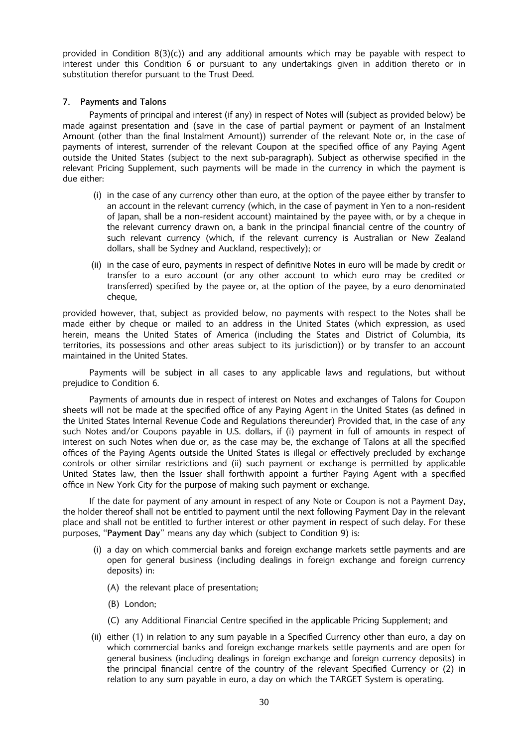provided in Condition 8(3)(c)) and any additional amounts which may be payable with respect to interest under this Condition 6 or pursuant to any undertakings given in addition thereto or in substitution therefor pursuant to the Trust Deed.

### 7. Payments and Talons

Payments of principal and interest (if any) in respect of Notes will (subject as provided below) be made against presentation and (save in the case of partial payment or payment of an Instalment Amount (other than the final Instalment Amount)) surrender of the relevant Note or, in the case of payments of interest, surrender of the relevant Coupon at the specified office of any Paying Agent outside the United States (subject to the next sub-paragraph). Subject as otherwise specified in the relevant Pricing Supplement, such payments will be made in the currency in which the payment is due either:

- (i) in the case of any currency other than euro, at the option of the payee either by transfer to an account in the relevant currency (which, in the case of payment in Yen to a non-resident of Japan, shall be a non-resident account) maintained by the payee with, or by a cheque in the relevant currency drawn on, a bank in the principal financial centre of the country of such relevant currency (which, if the relevant currency is Australian or New Zealand dollars, shall be Sydney and Auckland, respectively); or
- (ii) in the case of euro, payments in respect of definitive Notes in euro will be made by credit or transfer to a euro account (or any other account to which euro may be credited or transferred) specified by the payee or, at the option of the payee, by a euro denominated cheque.

provided however, that, subject as provided below, no payments with respect to the Notes shall be made either by cheque or mailed to an address in the United States (which expression, as used herein, means the United States of America (including the States and District of Columbia, its territories, its possessions and other areas subject to its jurisdiction)) or by transfer to an account maintained in the United States.

Payments will be subject in all cases to any applicable laws and regulations, but without prejudice to Condition 6.

Payments of amounts due in respect of interest on Notes and exchanges of Talons for Coupon sheets will not be made at the specified office of any Paying Agent in the United States (as defined in the United States Internal Revenue Code and Regulations thereunder) Provided that, in the case of any such Notes and/or Coupons payable in U.S. dollars, if (i) payment in full of amounts in respect of interest on such Notes when due or, as the case may be, the exchange of Talons at all the specified offices of the Paying Agents outside the United States is illegal or effectively precluded by exchange controls or other similar restrictions and (ii) such payment or exchange is permitted by applicable United States law, then the Issuer shall forthwith appoint a further Paying Agent with a specified office in New York City for the purpose of making such payment or exchange.

If the date for payment of any amount in respect of any Note or Coupon is not a Payment Day, the holder thereof shall not be entitled to payment until the next following Payment Day in the relevant place and shall not be entitled to further interest or other payment in respect of such delay. For these purposes, "Payment Day" means any day which (subject to Condition 9) is:

- (i) a day on which commercial banks and foreign exchange markets settle payments and are open for general business (including dealings in foreign exchange and foreign currency deposits) in:
	- (A) the relevant place of presentation;
	- (B) London;
	- (C) any Additional Financial Centre specified in the applicable Pricing Supplement; and
- (ii) either  $(1)$  in relation to any sum payable in a Specified Currency other than euro, a day on which commercial banks and foreign exchange markets settle payments and are open for general business (including dealings in foreign exchange and foreign currency deposits) in the principal financial centre of the country of the relevant Specified Currency or (2) in relation to any sum payable in euro, a day on which the TARGET System is operating.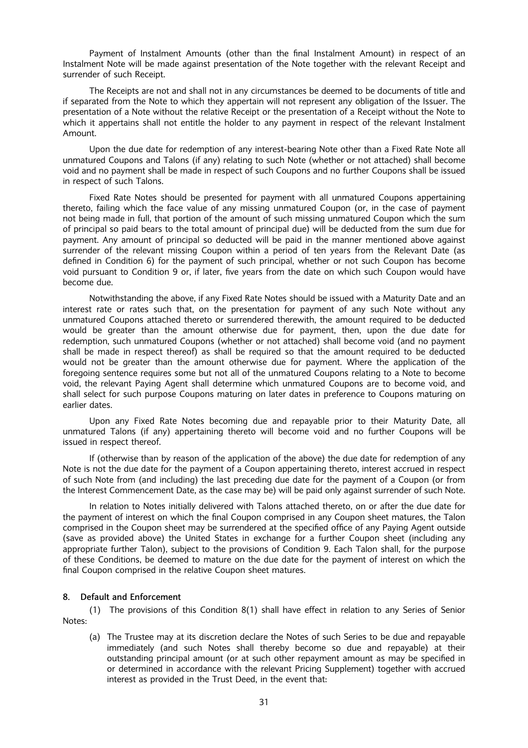Payment of Instalment Amounts (other than the final Instalment Amount) in respect of an Instalment Note will be made against presentation of the Note together with the relevant Receipt and surrender of such Receipt.

The Receipts are not and shall not in any circumstances be deemed to be documents of title and if separated from the Note to which they appertain will not represent any obligation of the Issuer. The presentation of a Note without the relative Receipt or the presentation of a Receipt without the Note to which it appertains shall not entitle the holder to any payment in respect of the relevant Instalment Amount.

Upon the due date for redemption of any interest-bearing Note other than a Fixed Rate Note all unmatured Coupons and Talons (if any) relating to such Note (whether or not attached) shall become void and no payment shall be made in respect of such Coupons and no further Coupons shall be issued in respect of such Talons.

Fixed Rate Notes should be presented for payment with all unmatured Coupons appertaining thereto, failing which the face value of any missing unmatured Coupon (or, in the case of payment not being made in full, that portion of the amount of such missing unmatured Coupon which the sum of principal so paid bears to the total amount of principal due) will be deducted from the sum due for payment. Any amount of principal so deducted will be paid in the manner mentioned above against surrender of the relevant missing Coupon within a period of ten years from the Relevant Date (as defined in Condition 6) for the payment of such principal, whether or not such Coupon has become void pursuant to Condition 9 or, if later, five years from the date on which such Coupon would have become due.

Notwithstanding the above, if any Fixed Rate Notes should be issued with a Maturity Date and an interest rate or rates such that, on the presentation for payment of any such Note without any unmatured Coupons attached thereto or surrendered therewith, the amount required to be deducted would be greater than the amount otherwise due for payment, then, upon the due date for redemption, such unmatured Coupons (whether or not attached) shall become void (and no payment shall be made in respect thereof) as shall be required so that the amount required to be deducted would not be greater than the amount otherwise due for payment. Where the application of the foregoing sentence requires some but not all of the unmatured Coupons relating to a Note to become void, the relevant Paying Agent shall determine which unmatured Coupons are to become void, and shall select for such purpose Coupons maturing on later dates in preference to Coupons maturing on earlier dates.

Upon any Fixed Rate Notes becoming due and repayable prior to their Maturity Date, all unmatured Talons (if any) appertaining thereto will become void and no further Coupons will be issued in respect thereof.

If (otherwise than by reason of the application of the above) the due date for redemption of any Note is not the due date for the payment of a Coupon appertaining thereto, interest accrued in respect of such Note from (and including) the last preceding due date for the payment of a Coupon (or from the Interest Commencement Date, as the case may be) will be paid only against surrender of such Note.

In relation to Notes initially delivered with Talons attached thereto, on or after the due date for the payment of interest on which the final Coupon comprised in any Coupon sheet matures, the Talon comprised in the Coupon sheet may be surrendered at the specified office of any Paying Agent outside (save as provided above) the United States in exchange for a further Coupon sheet (including any appropriate further Talon), subject to the provisions of Condition 9. Each Talon shall, for the purpose of these Conditions, be deemed to mature on the due date for the payment of interest on which the final Coupon comprised in the relative Coupon sheet matures.

# 8. Default and Enforcement

(1) The provisions of this Condition 8(1) shall have effect in relation to any Series of Senior Notes:

(a) The Trustee may at its discretion declare the Notes of such Series to be due and repayable immediately (and such Notes shall thereby become so due and repayable) at their outstanding principal amount (or at such other repayment amount as may be specified in or determined in accordance with the relevant Pricing Supplement) together with accrued interest as provided in the Trust Deed, in the event that: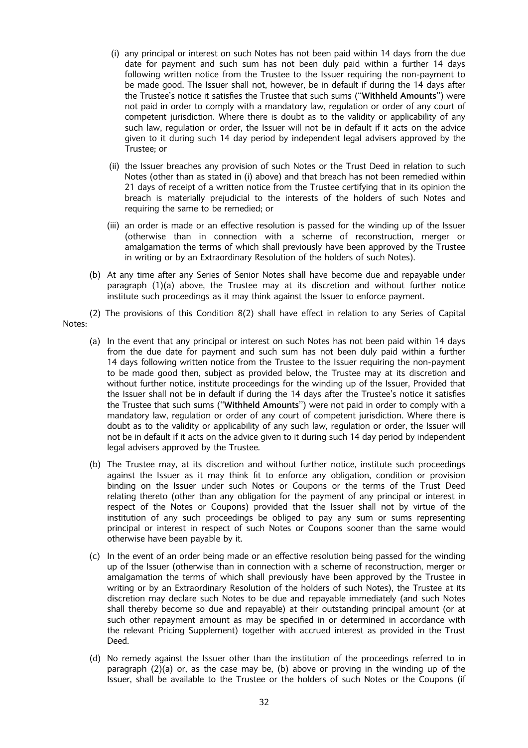- (i) any principal or interest on such Notes has not been paid within 14 days from the due date for payment and such sum has not been duly paid within a further 14 days following written notice from the Trustee to the Issuer requiring the non-payment to be made good. The Issuer shall not, however, be in default if during the 14 days after the Trustee's notice it satisfies the Trustee that such sums ("Withheld Amounts") were not paid in order to comply with a mandatory law, regulation or order of any court of competent jurisdiction. Where there is doubt as to the validity or applicability of any such law, regulation or order, the Issuer will not be in default if it acts on the advice given to it during such 14 day period by independent legal advisers approved by the Trustee; or
- (ii) the Issuer breaches any provision of such Notes or the Trust Deed in relation to such Notes (other than as stated in (i) above) and that breach has not been remedied within 21 days of receipt of a written notice from the Trustee certifying that in its opinion the breach is materially prejudicial to the interests of the holders of such Notes and requiring the same to be remedied; or
- (iii) an order is made or an effective resolution is passed for the winding up of the Issuer (otherwise than in connection with a scheme of reconstruction, merger or amalgamation the terms of which shall previously have been approved by the Trustee in writing or by an Extraordinary Resolution of the holders of such Notes).
- (b) At any time after any Series of Senior Notes shall have become due and repayable under paragraph (1)(a) above, the Trustee may at its discretion and without further notice institute such proceedings as it may think against the Issuer to enforce payment.
- (2) The provisions of this Condition 8(2) shall have effect in relation to any Series of Capital Notes:
	- (a) In the event that any principal or interest on such Notes has not been paid within 14 days from the due date for payment and such sum has not been duly paid within a further 14 days following written notice from the Trustee to the Issuer requiring the non-payment to be made good then, subject as provided below, the Trustee may at its discretion and without further notice, institute proceedings for the winding up of the Issuer, Provided that the Issuer shall not be in default if during the 14 days after the Trustee's notice it satisfies the Trustee that such sums ("Withheld Amounts") were not paid in order to comply with a mandatory law, regulation or order of any court of competent jurisdiction. Where there is doubt as to the validity or applicability of any such law, regulation or order, the Issuer will not be in default if it acts on the advice given to it during such 14 day period by independent legal advisers approved by the Trustee.
	- (b) The Trustee may, at its discretion and without further notice, institute such proceedings against the Issuer as it may think fit to enforce any obligation, condition or provision binding on the Issuer under such Notes or Coupons or the terms of the Trust Deed relating thereto (other than any obligation for the payment of any principal or interest in respect of the Notes or Coupons) provided that the Issuer shall not by virtue of the institution of any such proceedings be obliged to pay any sum or sums representing principal or interest in respect of such Notes or Coupons sooner than the same would otherwise have been payable by it.
	- (c) In the event of an order being made or an effective resolution being passed for the winding up of the Issuer (otherwise than in connection with a scheme of reconstruction, merger or amalgamation the terms of which shall previously have been approved by the Trustee in writing or by an Extraordinary Resolution of the holders of such Notes), the Trustee at its discretion may declare such Notes to be due and repayable immediately (and such Notes shall thereby become so due and repayable) at their outstanding principal amount (or at such other repayment amount as may be specified in or determined in accordance with the relevant Pricing Supplement) together with accrued interest as provided in the Trust Deed.
	- (d) No remedy against the Issuer other than the institution of the proceedings referred to in paragraph  $(2)(a)$  or, as the case may be, (b) above or proving in the winding up of the Issuer, shall be available to the Trustee or the holders of such Notes or the Coupons (if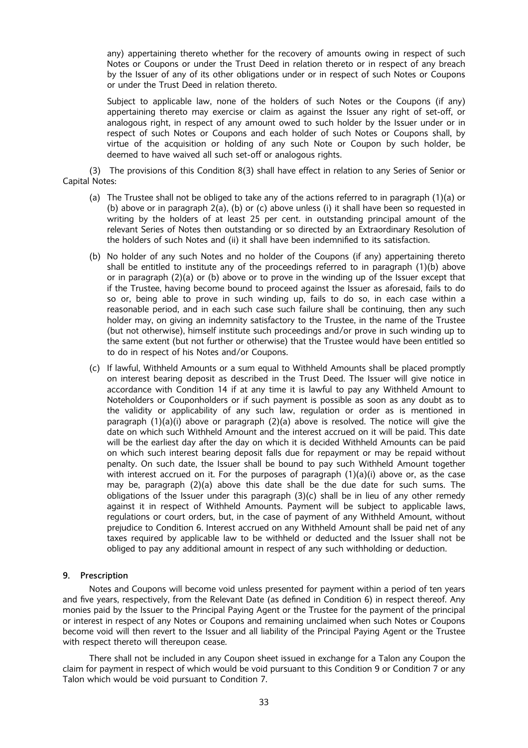any) appertaining thereto whether for the recovery of amounts owing in respect of such Notes or Coupons or under the Trust Deed in relation thereto or in respect of any breach by the Issuer of any of its other obligations under or in respect of such Notes or Coupons or under the Trust Deed in relation thereto.

Subject to applicable law, none of the holders of such Notes or the Coupons (if any) appertaining thereto may exercise or claim as against the Issuer any right of set-off, or analogous right, in respect of any amount owed to such holder by the Issuer under or in respect of such Notes or Coupons and each holder of such Notes or Coupons shall, by virtue of the acquisition or holding of any such Note or Coupon by such holder, be deemed to have waived all such set-off or analogous rights.

(3) The provisions of this Condition 8(3) shall have effect in relation to any Series of Senior or Capital Notes:

- (a) The Trustee shall not be obliged to take any of the actions referred to in paragraph (1)(a) or (b) above or in paragraph 2(a), (b) or (c) above unless (i) it shall have been so requested in writing by the holders of at least 25 per cent. in outstanding principal amount of the relevant Series of Notes then outstanding or so directed by an Extraordinary Resolution of the holders of such Notes and (ii) it shall have been indemnified to its satisfaction.
- (b) No holder of any such Notes and no holder of the Coupons (if any) appertaining thereto shall be entitled to institute any of the proceedings referred to in paragraph (1)(b) above or in paragraph (2)(a) or (b) above or to prove in the winding up of the Issuer except that if the Trustee, having become bound to proceed against the Issuer as aforesaid, fails to do so or, being able to prove in such winding up, fails to do so, in each case within a reasonable period, and in each such case such failure shall be continuing, then any such holder may, on giving an indemnity satisfactory to the Trustee, in the name of the Trustee (but not otherwise), himself institute such proceedings and/or prove in such winding up to the same extent (but not further or otherwise) that the Trustee would have been entitled so to do in respect of his Notes and/or Coupons.
- (c) If lawful, Withheld Amounts or a sum equal to Withheld Amounts shall be placed promptly on interest bearing deposit as described in the Trust Deed. The Issuer will give notice in accordance with Condition 14 if at any time it is lawful to pay any Withheld Amount to Noteholders or Couponholders or if such payment is possible as soon as any doubt as to the validity or applicability of any such law, regulation or order as is mentioned in paragraph  $(1)(a)(i)$  above or paragraph  $(2)(a)$  above is resolved. The notice will give the date on which such Withheld Amount and the interest accrued on it will be paid. This date will be the earliest day after the day on which it is decided Withheld Amounts can be paid on which such interest bearing deposit falls due for repayment or may be repaid without penalty. On such date, the Issuer shall be bound to pay such Withheld Amount together with interest accrued on it. For the purposes of paragraph  $(1)(a)(i)$  above or, as the case may be, paragraph (2)(a) above this date shall be the due date for such sums. The obligations of the Issuer under this paragraph  $(3)(c)$  shall be in lieu of any other remedy against it in respect of Withheld Amounts. Payment will be subject to applicable laws, regulations or court orders, but, in the case of payment of any Withheld Amount, without prejudice to Condition 6. Interest accrued on any Withheld Amount shall be paid net of any taxes required by applicable law to be withheld or deducted and the Issuer shall not be obliged to pay any additional amount in respect of any such withholding or deduction.

#### 9. Prescription

Notes and Coupons will become void unless presented for payment within a period of ten years and five years, respectively, from the Relevant Date (as defined in Condition 6) in respect thereof. Any monies paid by the Issuer to the Principal Paying Agent or the Trustee for the payment of the principal or interest in respect of any Notes or Coupons and remaining unclaimed when such Notes or Coupons become void will then revert to the Issuer and all liability of the Principal Paying Agent or the Trustee with respect thereto will thereupon cease.

There shall not be included in any Coupon sheet issued in exchange for a Talon any Coupon the claim for payment in respect of which would be void pursuant to this Condition 9 or Condition 7 or any Talon which would be void pursuant to Condition 7.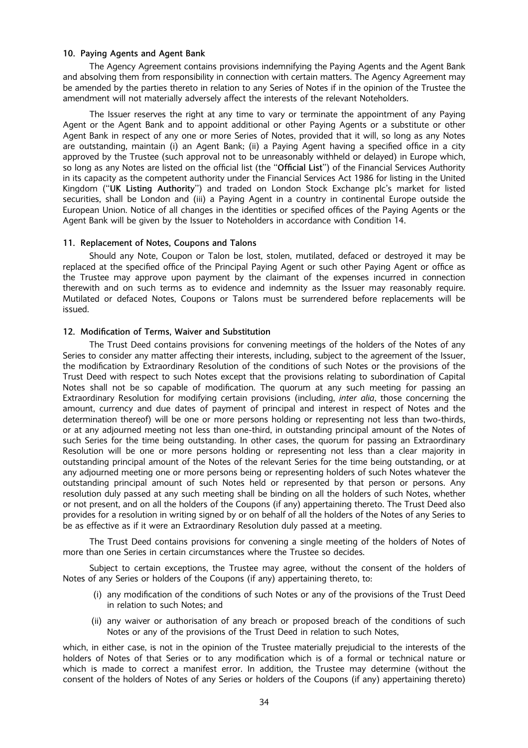#### 10. Paying Agents and Agent Bank

The Agency Agreement contains provisions indemnifying the Paying Agents and the Agent Bank and absolving them from responsibility in connection with certain matters. The Agency Agreement may be amended by the parties thereto in relation to any Series of Notes if in the opinion of the Trustee the amendment will not materially adversely affect the interests of the relevant Noteholders.

The Issuer reserves the right at any time to vary or terminate the appointment of any Paying Agent or the Agent Bank and to appoint additional or other Paying Agents or a substitute or other Agent Bank in respect of any one or more Series of Notes, provided that it will, so long as any Notes are outstanding, maintain (i) an Agent Bank; (ii) a Paying Agent having a specified office in a city approved by the Trustee (such approval not to be unreasonably withheld or delayed) in Europe which, so long as any Notes are listed on the official list (the "Official List") of the Financial Services Authority in its capacity as the competent authority under the Financial Services Act 1986 for listing in the United Kingdom ("UK Listing Authority") and traded on London Stock Exchange plc's market for listed securities, shall be London and (iii) a Paying Agent in a country in continental Europe outside the European Union. Notice of all changes in the identities or specified offices of the Paying Agents or the Agent Bank will be given by the Issuer to Noteholders in accordance with Condition 14.

#### 11. Replacement of Notes, Coupons and Talons

Should any Note, Coupon or Talon be lost, stolen, mutilated, defaced or destroyed it may be replaced at the specified office of the Principal Paying Agent or such other Paying Agent or office as the Trustee may approve upon payment by the claimant of the expenses incurred in connection therewith and on such terms as to evidence and indemnity as the Issuer may reasonably require. Mutilated or defaced Notes, Coupons or Talons must be surrendered before replacements will be issued.

#### 12. Modification of Terms, Waiver and Substitution

The Trust Deed contains provisions for convening meetings of the holders of the Notes of any Series to consider any matter affecting their interests, including, subject to the agreement of the Issuer, the modification by Extraordinary Resolution of the conditions of such Notes or the provisions of the Trust Deed with respect to such Notes except that the provisions relating to subordination of Capital Notes shall not be so capable of modification. The quorum at any such meeting for passing an Extraordinary Resolution for modifying certain provisions (including, inter alia, those concerning the amount, currency and due dates of payment of principal and interest in respect of Notes and the determination thereof) will be one or more persons holding or representing not less than two-thirds, or at any adjourned meeting not less than one-third, in outstanding principal amount of the Notes of such Series for the time being outstanding. In other cases, the quorum for passing an Extraordinary Resolution will be one or more persons holding or representing not less than a clear majority in outstanding principal amount of the Notes of the relevant Series for the time being outstanding, or at any adjourned meeting one or more persons being or representing holders of such Notes whatever the outstanding principal amount of such Notes held or represented by that person or persons. Any resolution duly passed at any such meeting shall be binding on all the holders of such Notes, whether or not present, and on all the holders of the Coupons (if any) appertaining thereto. The Trust Deed also provides for a resolution in writing signed by or on behalf of all the holders of the Notes of any Series to be as effective as if it were an Extraordinary Resolution duly passed at a meeting.

The Trust Deed contains provisions for convening a single meeting of the holders of Notes of more than one Series in certain circumstances where the Trustee so decides.

Subject to certain exceptions, the Trustee may agree, without the consent of the holders of Notes of any Series or holders of the Coupons (if any) appertaining thereto, to:

- (i) any modification of the conditions of such Notes or any of the provisions of the Trust Deed in relation to such Notes; and
- (ii) any waiver or authorisation of any breach or proposed breach of the conditions of such Notes or any of the provisions of the Trust Deed in relation to such Notes,

which, in either case, is not in the opinion of the Trustee materially prejudicial to the interests of the holders of Notes of that Series or to any modification which is of a formal or technical nature or which is made to correct a manifest error. In addition, the Trustee may determine (without the consent of the holders of Notes of any Series or holders of the Coupons (if any) appertaining thereto)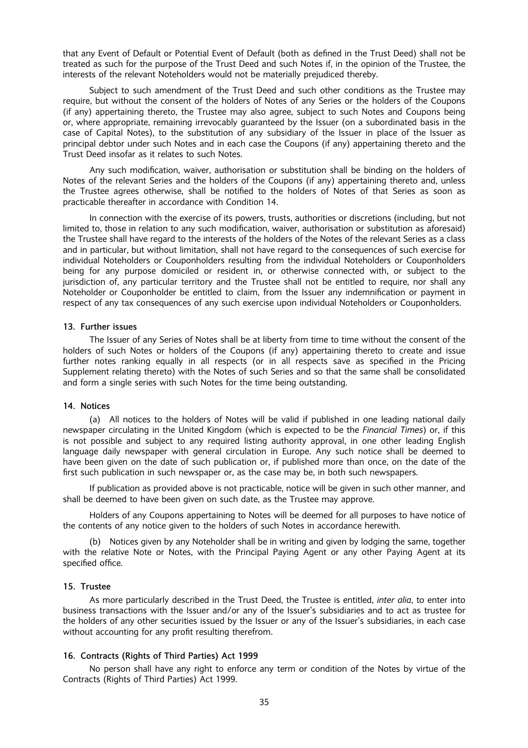that any Event of Default or Potential Event of Default (both as defined in the Trust Deed) shall not be treated as such for the purpose of the Trust Deed and such Notes if, in the opinion of the Trustee, the interests of the relevant Noteholders would not be materially prejudiced thereby.

Subject to such amendment of the Trust Deed and such other conditions as the Trustee may require, but without the consent of the holders of Notes of any Series or the holders of the Coupons (if any) appertaining thereto, the Trustee may also agree, subject to such Notes and Coupons being or, where appropriate, remaining irrevocably guaranteed by the Issuer (on a subordinated basis in the case of Capital Notes), to the substitution of any subsidiary of the Issuer in place of the Issuer as principal debtor under such Notes and in each case the Coupons (if any) appertaining thereto and the Trust Deed insofar as it relates to such Notes.

Any such modification, waiver, authorisation or substitution shall be binding on the holders of Notes of the relevant Series and the holders of the Coupons (if any) appertaining thereto and, unless the Trustee agrees otherwise, shall be notified to the holders of Notes of that Series as soon as practicable thereafter in accordance with Condition 14.

In connection with the exercise of its powers, trusts, authorities or discretions (including, but not limited to, those in relation to any such modification, waiver, authorisation or substitution as aforesaid) the Trustee shall have regard to the interests of the holders of the Notes of the relevant Series as a class and in particular, but without limitation, shall not have regard to the consequences of such exercise for individual Noteholders or Couponholders resulting from the individual Noteholders or Couponholders being for any purpose domiciled or resident in, or otherwise connected with, or subject to the jurisdiction of, any particular territory and the Trustee shall not be entitled to require, nor shall any Noteholder or Couponholder be entitled to claim, from the Issuer any indemnification or payment in respect of any tax consequences of any such exercise upon individual Noteholders or Couponholders.

#### 13. Further issues

The Issuer of any Series of Notes shall be at liberty from time to time without the consent of the holders of such Notes or holders of the Coupons (if any) appertaining thereto to create and issue further notes ranking equally in all respects (or in all respects save as specified in the Pricing Supplement relating thereto) with the Notes of such Series and so that the same shall be consolidated and form a single series with such Notes for the time being outstanding.

#### 14. Notices

(a) All notices to the holders of Notes will be valid if published in one leading national daily newspaper circulating in the United Kingdom (which is expected to be the Financial Times) or, if this is not possible and subject to any required listing authority approval, in one other leading English language daily newspaper with general circulation in Europe. Any such notice shall be deemed to have been given on the date of such publication or, if published more than once, on the date of the first such publication in such newspaper or, as the case may be, in both such newspapers.

If publication as provided above is not practicable, notice will be given in such other manner, and shall be deemed to have been given on such date, as the Trustee may approve.

Holders of any Coupons appertaining to Notes will be deemed for all purposes to have notice of the contents of any notice given to the holders of such Notes in accordance herewith.

(b) Notices given by any Noteholder shall be in writing and given by lodging the same, together with the relative Note or Notes, with the Principal Paying Agent or any other Paying Agent at its specified office.

#### 15. Trustee

As more particularly described in the Trust Deed, the Trustee is entitled, *inter alia*, to enter into business transactions with the Issuer and/or any of the Issuer's subsidiaries and to act as trustee for the holders of any other securities issued by the Issuer or any of the Issuer's subsidiaries, in each case without accounting for any profit resulting therefrom.

# 16. Contracts (Rights of Third Parties) Act 1999

No person shall have any right to enforce any term or condition of the Notes by virtue of the Contracts (Rights of Third Parties) Act 1999.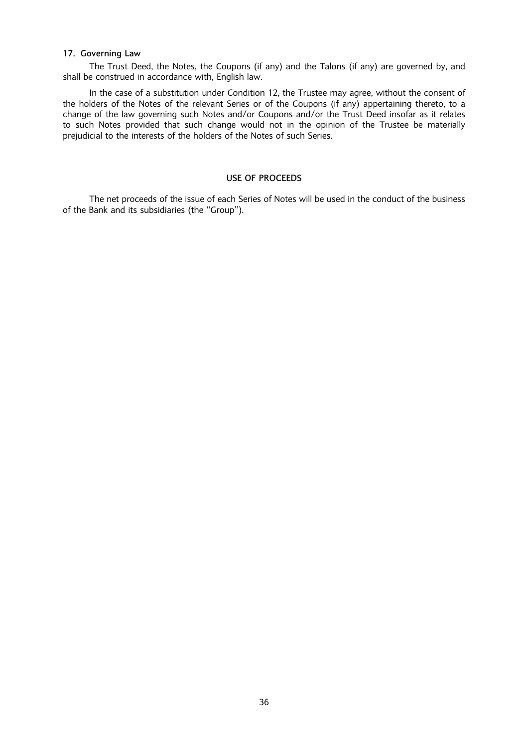#### 17. Governing Law

The Trust Deed, the Notes, the Coupons (if any) and the Talons (if any) are governed by, and shall be construed in accordance with, English law.

In the case of a substitution under Condition 12, the Trustee may agree, without the consent of the holders of the Notes of the relevant Series or of the Coupons (if any) appertaining thereto, to a change of the law governing such Notes and/or Coupons and/or the Trust Deed insofar as it relates to such Notes provided that such change would not in the opinion of the Trustee be materially prejudicial to the interests of the holders of the Notes of such Series.

# USE OF PROCEEDS

The net proceeds of the issue of each Series of Notes will be used in the conduct of the business of the Bank and its subsidiaries (the "Group").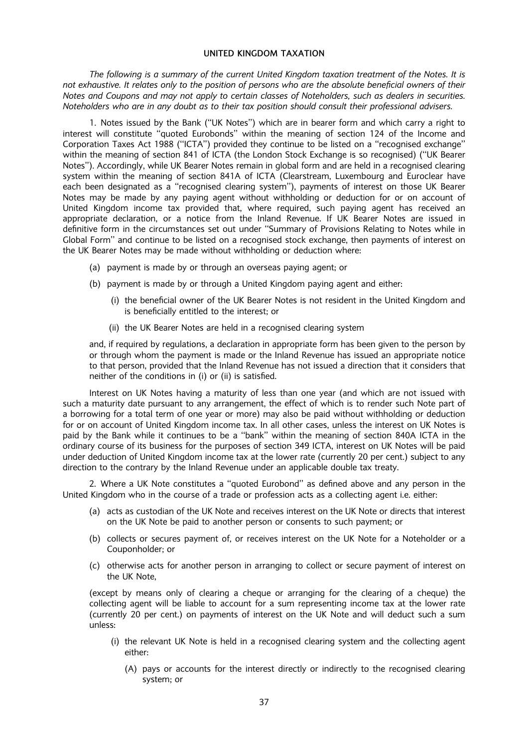#### UNITED KINGDOM TAXATION

The following is a summary of the current United Kingdom taxation treatment of the Notes. It is not exhaustive. It relates only to the position of persons who are the absolute beneficial owners of their Notes and Coupons and may not apply to certain classes of Noteholders, such as dealers in securities. Noteholders who are in any doubt as to their tax position should consult their professional advisers.

1. Notes issued by the Bank ("UK Notes") which are in bearer form and which carry a right to interest will constitute "quoted Eurobonds" within the meaning of section 124 of the Income and Corporation Taxes Act 1988 ("ICTA") provided they continue to be listed on a "recognised exchange" within the meaning of section 841 of ICTA (the London Stock Exchange is so recognised) ("UK Bearer Notes''). Accordingly, while UK Bearer Notes remain in global form and are held in a recognised clearing system within the meaning of section 841A of ICTA (Clearstream, Luxembourg and Euroclear have each been designated as a "recognised clearing system"), payments of interest on those UK Bearer Notes may be made by any paying agent without withholding or deduction for or on account of United Kingdom income tax provided that, where required, such paying agent has received an appropriate declaration, or a notice from the Inland Revenue. If UK Bearer Notes are issued in definitive form in the circumstances set out under "Summary of Provisions Relating to Notes while in Global Form'' and continue to be listed on a recognised stock exchange, then payments of interest on the UK Bearer Notes may be made without withholding or deduction where:

- (a) payment is made by or through an overseas paying agent; or
- (b) payment is made by or through a United Kingdom paying agent and either:
	- (i) the beneficial owner of the UK Bearer Notes is not resident in the United Kingdom and is beneficially entitled to the interest; or
	- (ii) the UK Bearer Notes are held in a recognised clearing system

and, if required by regulations, a declaration in appropriate form has been given to the person by or through whom the payment is made or the Inland Revenue has issued an appropriate notice to that person, provided that the Inland Revenue has not issued a direction that it considers that neither of the conditions in (i) or (ii) is satisfied.

Interest on UK Notes having a maturity of less than one year (and which are not issued with such a maturity date pursuant to any arrangement, the effect of which is to render such Note part of a borrowing for a total term of one year or more) may also be paid without withholding or deduction for or on account of United Kingdom income tax. In all other cases, unless the interest on UK Notes is paid by the Bank while it continues to be a "bank" within the meaning of section 840A ICTA in the ordinary course of its business for the purposes of section 349 ICTA, interest on UK Notes will be paid under deduction of United Kingdom income tax at the lower rate (currently 20 per cent.) subject to any direction to the contrary by the Inland Revenue under an applicable double tax treaty.

2. Where a UK Note constitutes a "quoted Eurobond" as defined above and any person in the United Kingdom who in the course of a trade or profession acts as a collecting agent i.e. either:

- (a) acts as custodian of the UK Note and receives interest on the UK Note or directs that interest on the UK Note be paid to another person or consents to such payment; or
- (b) collects or secures payment of, or receives interest on the UK Note for a Noteholder or a Couponholder; or
- (c) otherwise acts for another person in arranging to collect or secure payment of interest on the UK Note,

(except by means only of clearing a cheque or arranging for the clearing of a cheque) the collecting agent will be liable to account for a sum representing income tax at the lower rate (currently 20 per cent.) on payments of interest on the UK Note and will deduct such a sum unless:

- (i) the relevant UK Note is held in a recognised clearing system and the collecting agent either:
	- (A) pays or accounts for the interest directly or indirectly to the recognised clearing system; or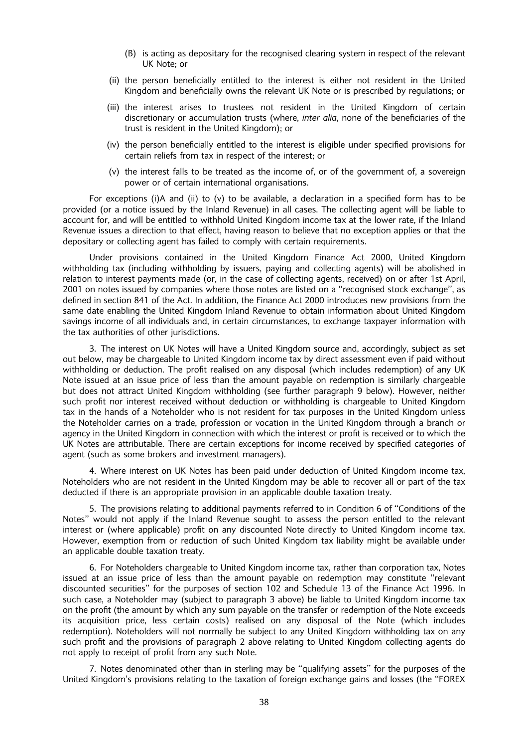- (B) is acting as depositary for the recognised clearing system in respect of the relevant UK Note; or
- (ii) the person beneficially entitled to the interest is either not resident in the United Kingdom and beneficially owns the relevant UK Note or is prescribed by regulations; or
- (iii) the interest arises to trustees not resident in the United Kingdom of certain discretionary or accumulation trusts (where, inter alia, none of the beneficiaries of the trust is resident in the United Kingdom); or
- $(iv)$  the person beneficially entitled to the interest is eligible under specified provisions for certain reliefs from tax in respect of the interest; or
- (v) the interest falls to be treated as the income of, or of the government of, a sovereign power or of certain international organisations.

For exceptions (i)A and (ii) to (v) to be available, a declaration in a specified form has to be provided (or a notice issued by the Inland Revenue) in all cases. The collecting agent will be liable to account for, and will be entitled to withhold United Kingdom income tax at the lower rate, if the Inland Revenue issues a direction to that effect, having reason to believe that no exception applies or that the depositary or collecting agent has failed to comply with certain requirements.

Under provisions contained in the United Kingdom Finance Act 2000, United Kingdom withholding tax (including withholding by issuers, paying and collecting agents) will be abolished in relation to interest payments made (or, in the case of collecting agents, received) on or after 1st April, 2001 on notes issued by companies where those notes are listed on a "recognised stock exchange", as defined in section 841 of the Act. In addition, the Finance Act 2000 introduces new provisions from the same date enabling the United Kingdom Inland Revenue to obtain information about United Kingdom savings income of all individuals and, in certain circumstances, to exchange taxpayer information with the tax authorities of other jurisdictions.

3. The interest on UK Notes will have a United Kingdom source and, accordingly, subject as set out below, may be chargeable to United Kingdom income tax by direct assessment even if paid without withholding or deduction. The profit realised on any disposal (which includes redemption) of any UK Note issued at an issue price of less than the amount payable on redemption is similarly chargeable but does not attract United Kingdom withholding (see further paragraph 9 below). However, neither such profit nor interest received without deduction or withholding is chargeable to United Kingdom tax in the hands of a Noteholder who is not resident for tax purposes in the United Kingdom unless the Noteholder carries on a trade, profession or vocation in the United Kingdom through a branch or agency in the United Kingdom in connection with which the interest or profit is received or to which the UK Notes are attributable. There are certain exceptions for income received by specified categories of agent (such as some brokers and investment managers).

4. Where interest on UK Notes has been paid under deduction of United Kingdom income tax, Noteholders who are not resident in the United Kingdom may be able to recover all or part of the tax deducted if there is an appropriate provision in an applicable double taxation treaty.

5. The provisions relating to additional payments referred to in Condition 6 of "Conditions of the Notes'' would not apply if the Inland Revenue sought to assess the person entitled to the relevant interest or (where applicable) profit on any discounted Note directly to United Kingdom income tax. However, exemption from or reduction of such United Kingdom tax liability might be available under an applicable double taxation treaty.

6. For Noteholders chargeable to United Kingdom income tax, rather than corporation tax, Notes issued at an issue price of less than the amount payable on redemption may constitute "relevant discounted securities'' for the purposes of section 102 and Schedule 13 of the Finance Act 1996. In such case, a Noteholder may (subject to paragraph 3 above) be liable to United Kingdom income tax on the profit (the amount by which any sum payable on the transfer or redemption of the Note exceeds its acquisition price, less certain costs) realised on any disposal of the Note (which includes redemption). Noteholders will not normally be subject to any United Kingdom withholding tax on any such profit and the provisions of paragraph 2 above relating to United Kingdom collecting agents do not apply to receipt of profit from any such Note.

7. Notes denominated other than in sterling may be "qualifying assets" for the purposes of the United Kingdom's provisions relating to the taxation of foreign exchange gains and losses (the "FOREX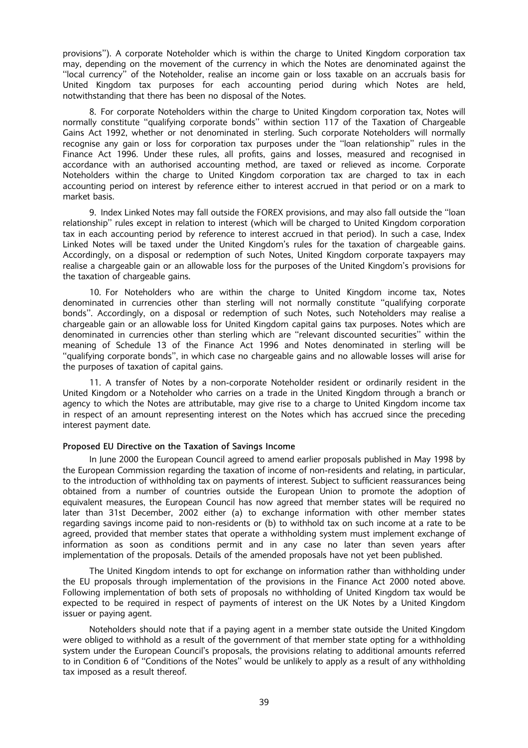provisions''). A corporate Noteholder which is within the charge to United Kingdom corporation tax may, depending on the movement of the currency in which the Notes are denominated against the ``local currency'' of the Noteholder, realise an income gain or loss taxable on an accruals basis for United Kingdom tax purposes for each accounting period during which Notes are held, notwithstanding that there has been no disposal of the Notes.

8. For corporate Noteholders within the charge to United Kingdom corporation tax, Notes will normally constitute "gualifying corporate bonds" within section 117 of the Taxation of Chargeable Gains Act 1992, whether or not denominated in sterling. Such corporate Noteholders will normally recognise any gain or loss for corporation tax purposes under the "loan relationship" rules in the Finance Act 1996. Under these rules, all profits, gains and losses, measured and recognised in accordance with an authorised accounting method, are taxed or relieved as income. Corporate Noteholders within the charge to United Kingdom corporation tax are charged to tax in each accounting period on interest by reference either to interest accrued in that period or on a mark to market basis.

9. Index Linked Notes may fall outside the FOREX provisions, and may also fall outside the "loan relationship'' rules except in relation to interest (which will be charged to United Kingdom corporation tax in each accounting period by reference to interest accrued in that period). In such a case, Index Linked Notes will be taxed under the United Kingdom's rules for the taxation of chargeable gains. Accordingly, on a disposal or redemption of such Notes, United Kingdom corporate taxpayers may realise a chargeable gain or an allowable loss for the purposes of the United Kingdom's provisions for the taxation of chargeable gains.

10. For Noteholders who are within the charge to United Kingdom income tax, Notes denominated in currencies other than sterling will not normally constitute "qualifying corporate bonds''. Accordingly, on a disposal or redemption of such Notes, such Noteholders may realise a chargeable gain or an allowable loss for United Kingdom capital gains tax purposes. Notes which are denominated in currencies other than sterling which are "relevant discounted securities" within the meaning of Schedule 13 of the Finance Act 1996 and Notes denominated in sterling will be ``qualifying corporate bonds'', in which case no chargeable gains and no allowable losses will arise for the purposes of taxation of capital gains.

11. A transfer of Notes by a non-corporate Noteholder resident or ordinarily resident in the United Kingdom or a Noteholder who carries on a trade in the United Kingdom through a branch or agency to which the Notes are attributable, may give rise to a charge to United Kingdom income tax in respect of an amount representing interest on the Notes which has accrued since the preceding interest payment date.

#### Proposed EU Directive on the Taxation of Savings Income

In June 2000 the European Council agreed to amend earlier proposals published in May 1998 by the European Commission regarding the taxation of income of non-residents and relating, in particular, to the introduction of withholding tax on payments of interest. Subject to sufficient reassurances being obtained from a number of countries outside the European Union to promote the adoption of equivalent measures, the European Council has now agreed that member states will be required no later than 31st December, 2002 either (a) to exchange information with other member states regarding savings income paid to non-residents or (b) to withhold tax on such income at a rate to be agreed, provided that member states that operate a withholding system must implement exchange of information as soon as conditions permit and in any case no later than seven years after implementation of the proposals. Details of the amended proposals have not yet been published.

The United Kingdom intends to opt for exchange on information rather than withholding under the EU proposals through implementation of the provisions in the Finance Act 2000 noted above. Following implementation of both sets of proposals no withholding of United Kingdom tax would be expected to be required in respect of payments of interest on the UK Notes by a United Kingdom issuer or paying agent.

Noteholders should note that if a paying agent in a member state outside the United Kingdom were obliged to withhold as a result of the government of that member state opting for a withholding system under the European Council's proposals, the provisions relating to additional amounts referred to in Condition 6 of "Conditions of the Notes" would be unlikely to apply as a result of any withholding tax imposed as a result thereof.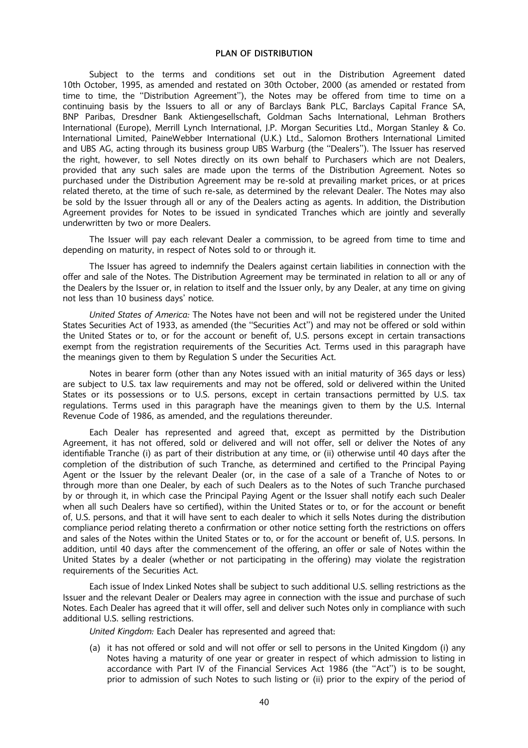Subject to the terms and conditions set out in the Distribution Agreement dated 10th October, 1995, as amended and restated on 30th October, 2000 (as amended or restated from time to time, the "Distribution Agreement"), the Notes may be offered from time to time on a continuing basis by the Issuers to all or any of Barclays Bank PLC, Barclays Capital France SA, BNP Paribas, Dresdner Bank Aktiengesellschaft, Goldman Sachs International, Lehman Brothers International (Europe), Merrill Lynch International, J.P. Morgan Securities Ltd., Morgan Stanley & Co. International Limited, PaineWebber International (U.K.) Ltd., Salomon Brothers International Limited and UBS AG, acting through its business group UBS Warburg (the "Dealers"). The Issuer has reserved the right, however, to sell Notes directly on its own behalf to Purchasers which are not Dealers, provided that any such sales are made upon the terms of the Distribution Agreement. Notes so purchased under the Distribution Agreement may be re-sold at prevailing market prices, or at prices related thereto, at the time of such re-sale, as determined by the relevant Dealer. The Notes may also be sold by the Issuer through all or any of the Dealers acting as agents. In addition, the Distribution Agreement provides for Notes to be issued in syndicated Tranches which are jointly and severally underwritten by two or more Dealers.

The Issuer will pay each relevant Dealer a commission, to be agreed from time to time and depending on maturity, in respect of Notes sold to or through it.

The Issuer has agreed to indemnify the Dealers against certain liabilities in connection with the offer and sale of the Notes. The Distribution Agreement may be terminated in relation to all or any of the Dealers by the Issuer or, in relation to itself and the Issuer only, by any Dealer, at any time on giving not less than 10 business days' notice.

United States of America: The Notes have not been and will not be registered under the United States Securities Act of 1933, as amended (the "Securities Act") and may not be offered or sold within the United States or to, or for the account or benefit of, U.S. persons except in certain transactions exempt from the registration requirements of the Securities Act. Terms used in this paragraph have the meanings given to them by Regulation S under the Securities Act.

Notes in bearer form (other than any Notes issued with an initial maturity of 365 days or less) are subject to U.S. tax law requirements and may not be offered, sold or delivered within the United States or its possessions or to U.S. persons, except in certain transactions permitted by U.S. tax regulations. Terms used in this paragraph have the meanings given to them by the U.S. Internal Revenue Code of 1986, as amended, and the regulations thereunder.

Each Dealer has represented and agreed that, except as permitted by the Distribution Agreement, it has not offered, sold or delivered and will not offer, sell or deliver the Notes of any identifiable Tranche (i) as part of their distribution at any time, or (ii) otherwise until 40 days after the completion of the distribution of such Tranche, as determined and certified to the Principal Paying Agent or the Issuer by the relevant Dealer (or, in the case of a sale of a Tranche of Notes to or through more than one Dealer, by each of such Dealers as to the Notes of such Tranche purchased by or through it, in which case the Principal Paying Agent or the Issuer shall notify each such Dealer when all such Dealers have so certified), within the United States or to, or for the account or benefit of, U.S. persons, and that it will have sent to each dealer to which it sells Notes during the distribution compliance period relating thereto a confirmation or other notice setting forth the restrictions on offers and sales of the Notes within the United States or to, or for the account or benefit of, U.S. persons. In addition, until 40 days after the commencement of the offering, an offer or sale of Notes within the United States by a dealer (whether or not participating in the offering) may violate the registration requirements of the Securities Act.

Each issue of Index Linked Notes shall be subject to such additional U.S. selling restrictions as the Issuer and the relevant Dealer or Dealers may agree in connection with the issue and purchase of such Notes. Each Dealer has agreed that it will offer, sell and deliver such Notes only in compliance with such additional U.S. selling restrictions.

United Kingdom: Each Dealer has represented and agreed that:

(a) it has not offered or sold and will not offer or sell to persons in the United Kingdom (i) any Notes having a maturity of one year or greater in respect of which admission to listing in accordance with Part IV of the Financial Services Act 1986 (the "Act") is to be sought, prior to admission of such Notes to such listing or (ii) prior to the expiry of the period of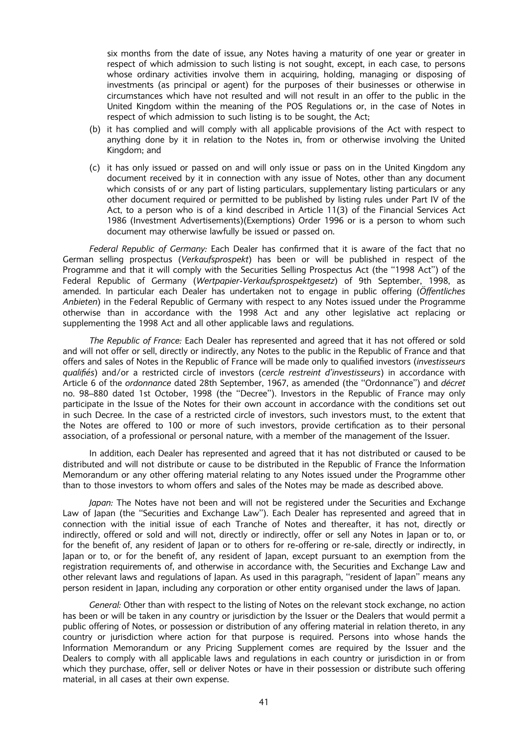six months from the date of issue, any Notes having a maturity of one year or greater in respect of which admission to such listing is not sought, except, in each case, to persons whose ordinary activities involve them in acquiring, holding, managing or disposing of investments (as principal or agent) for the purposes of their businesses or otherwise in circumstances which have not resulted and will not result in an offer to the public in the United Kingdom within the meaning of the POS Regulations or, in the case of Notes in respect of which admission to such listing is to be sought, the Act;

- (b) it has complied and will comply with all applicable provisions of the Act with respect to anything done by it in relation to the Notes in, from or otherwise involving the United Kingdom; and
- (c) it has only issued or passed on and will only issue or pass on in the United Kingdom any document received by it in connection with any issue of Notes, other than any document which consists of or any part of listing particulars, supplementary listing particulars or any other document required or permitted to be published by listing rules under Part IV of the Act, to a person who is of a kind described in Article 11(3) of the Financial Services Act 1986 (Investment Advertisements)(Exemptions) Order 1996 or is a person to whom such document may otherwise lawfully be issued or passed on.

Federal Republic of Germany: Each Dealer has confirmed that it is aware of the fact that no German selling prospectus (Verkaufsprospekt) has been or will be published in respect of the Programme and that it will comply with the Securities Selling Prospectus Act (the "1998 Act") of the Federal Republic of Germany (Wertpapier-Verkaufsprospektgesetz) of 9th September, 1998, as amended. In particular each Dealer has undertaken not to engage in public offering (Öffentliches Anbieten) in the Federal Republic of Germany with respect to any Notes issued under the Programme otherwise than in accordance with the 1998 Act and any other legislative act replacing or supplementing the 1998 Act and all other applicable laws and regulations.

The Republic of France: Each Dealer has represented and agreed that it has not offered or sold and will not offer or sell, directly or indirectly, any Notes to the public in the Republic of France and that offers and sales of Notes in the Republic of France will be made only to qualified investors (investisseurs qualifiés) and/or a restricted circle of investors (cercle restreint d'investisseurs) in accordance with Article 6 of the ordonnance dated 28th September, 1967, as amended (the "Ordonnance") and décret no. 98-880 dated 1st October, 1998 (the "Decree"). Investors in the Republic of France may only participate in the Issue of the Notes for their own account in accordance with the conditions set out in such Decree. In the case of a restricted circle of investors, such investors must, to the extent that the Notes are offered to 100 or more of such investors, provide certification as to their personal association, of a professional or personal nature, with a member of the management of the Issuer.

In addition, each Dealer has represented and agreed that it has not distributed or caused to be distributed and will not distribute or cause to be distributed in the Republic of France the Information Memorandum or any other offering material relating to any Notes issued under the Programme other than to those investors to whom offers and sales of the Notes may be made as described above.

Japan: The Notes have not been and will not be registered under the Securities and Exchange Law of Japan (the "Securities and Exchange Law"). Each Dealer has represented and agreed that in connection with the initial issue of each Tranche of Notes and thereafter, it has not, directly or indirectly, offered or sold and will not, directly or indirectly, offer or sell any Notes in Japan or to, or for the benefit of, any resident of Japan or to others for re-offering or re-sale, directly or indirectly, in Japan or to, or for the benefit of, any resident of Japan, except pursuant to an exemption from the registration requirements of, and otherwise in accordance with, the Securities and Exchange Law and other relevant laws and regulations of Japan. As used in this paragraph, "resident of Japan" means any person resident in Japan, including any corporation or other entity organised under the laws of Japan.

General: Other than with respect to the listing of Notes on the relevant stock exchange, no action has been or will be taken in any country or jurisdiction by the Issuer or the Dealers that would permit a public offering of Notes, or possession or distribution of any offering material in relation thereto, in any country or jurisdiction where action for that purpose is required. Persons into whose hands the Information Memorandum or any Pricing Supplement comes are required by the Issuer and the Dealers to comply with all applicable laws and regulations in each country or jurisdiction in or from which they purchase, offer, sell or deliver Notes or have in their possession or distribute such offering material, in all cases at their own expense.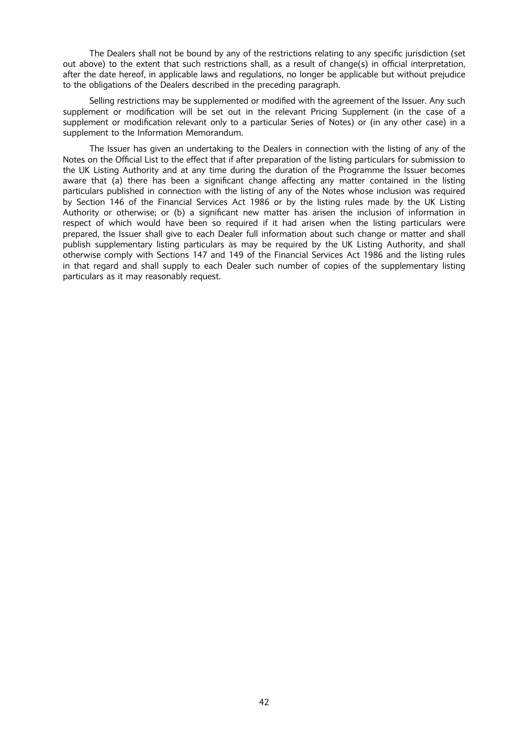The Dealers shall not be bound by any of the restrictions relating to any specific jurisdiction (set out above) to the extent that such restrictions shall, as a result of change(s) in official interpretation, after the date hereof, in applicable laws and regulations, no longer be applicable but without prejudice to the obligations of the Dealers described in the preceding paragraph.

Selling restrictions may be supplemented or modified with the agreement of the Issuer. Any such supplement or modification will be set out in the relevant Pricing Supplement (in the case of a supplement or modification relevant only to a particular Series of Notes) or (in any other case) in a supplement to the Information Memorandum.

The Issuer has given an undertaking to the Dealers in connection with the listing of any of the Notes on the Official List to the effect that if after preparation of the listing particulars for submission to the UK Listing Authority and at any time during the duration of the Programme the Issuer becomes aware that (a) there has been a significant change affecting any matter contained in the listing particulars published in connection with the listing of any of the Notes whose inclusion was required by Section 146 of the Financial Services Act 1986 or by the listing rules made by the UK Listing Authority or otherwise; or (b) a significant new matter has arisen the inclusion of information in respect of which would have been so required if it had arisen when the listing particulars were prepared, the Issuer shall give to each Dealer full information about such change or matter and shall publish supplementary listing particulars as may be required by the UK Listing Authority, and shall otherwise comply with Sections 147 and 149 of the Financial Services Act 1986 and the listing rules in that regard and shall supply to each Dealer such number of copies of the supplementary listing particulars as it may reasonably request.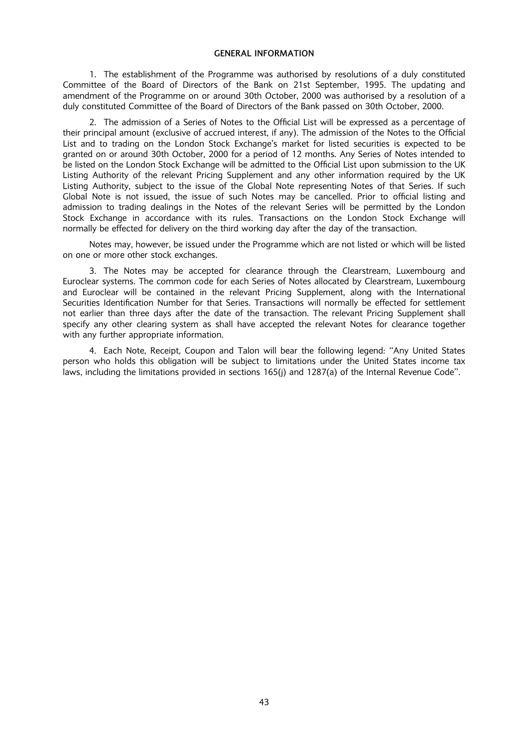#### GENERAL INFORMATION

1. The establishment of the Programme was authorised by resolutions of a duly constituted Committee of the Board of Directors of the Bank on 21st September, 1995. The updating and amendment of the Programme on or around 30th October, 2000 was authorised by a resolution of a duly constituted Committee of the Board of Directors of the Bank passed on 30th October, 2000.

2. The admission of a Series of Notes to the Official List will be expressed as a percentage of their principal amount (exclusive of accrued interest, if any). The admission of the Notes to the Official List and to trading on the London Stock Exchange's market for listed securities is expected to be granted on or around 30th October, 2000 for a period of 12 months. Any Series of Notes intended to be listed on the London Stock Exchange will be admitted to the Official List upon submission to the UK Listing Authority of the relevant Pricing Supplement and any other information required by the UK Listing Authority, subject to the issue of the Global Note representing Notes of that Series. If such Global Note is not issued, the issue of such Notes may be cancelled. Prior to official listing and admission to trading dealings in the Notes of the relevant Series will be permitted by the London Stock Exchange in accordance with its rules. Transactions on the London Stock Exchange will normally be effected for delivery on the third working day after the day of the transaction.

Notes may, however, be issued under the Programme which are not listed or which will be listed on one or more other stock exchanges.

3. The Notes may be accepted for clearance through the Clearstream, Luxembourg and Euroclear systems. The common code for each Series of Notes allocated by Clearstream, Luxembourg and Euroclear will be contained in the relevant Pricing Supplement, along with the International Securities Identification Number for that Series. Transactions will normally be effected for settlement not earlier than three days after the date of the transaction. The relevant Pricing Supplement shall specify any other clearing system as shall have accepted the relevant Notes for clearance together with any further appropriate information.

4. Each Note, Receipt, Coupon and Talon will bear the following legend: "Any United States person who holds this obligation will be subject to limitations under the United States income tax laws, including the limitations provided in sections 165(j) and 1287(a) of the Internal Revenue Code''.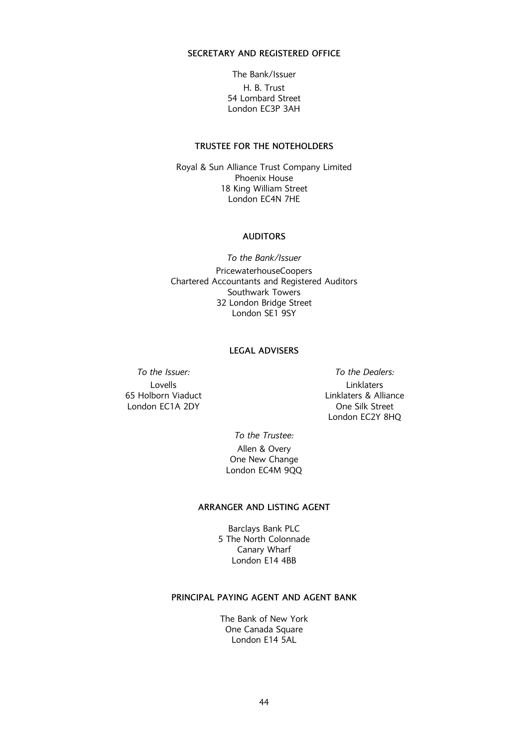# SECRETARY AND REGISTERED OFFICE

The Bank/Issuer H. B. Trust 54 Lombard Street London EC3P 3AH

# TRUSTEE FOR THE NOTEHOLDERS

Royal & Sun Alliance Trust Company Limited Phoenix House 18 King William Street London EC4N 7HE

#### AUDITORS

To the Bank/Issuer PricewaterhouseCoopers Chartered Accountants and Registered Auditors Southwark Towers 32 London Bridge Street London SE1 9SY

#### LEGAL ADVISERS

To the Issuer: To the Dealers:

Lovells 65 Holborn Viaduct London EC1A 2DY

Linklaters Linklaters & Alliance One Silk Street London EC2Y 8HQ

To the Trustee: Allen & Overy One New Change London EC4M 9QQ

#### ARRANGER AND LISTING AGENT

Barclays Bank PLC 5 The North Colonnade Canary Wharf London E14 4BB

# PRINCIPAL PAYING AGENT AND AGENT BANK

The Bank of New York One Canada Square London E14 5AL